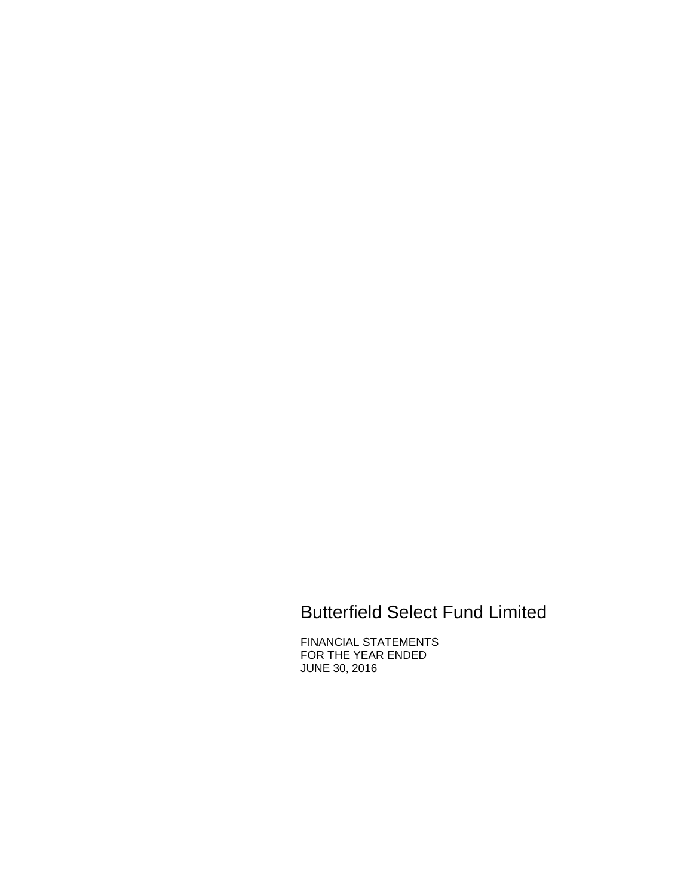# Butterfield Select Fund Limited

FINANCIAL STATEMENTS FOR THE YEAR ENDED JUNE 30, 2016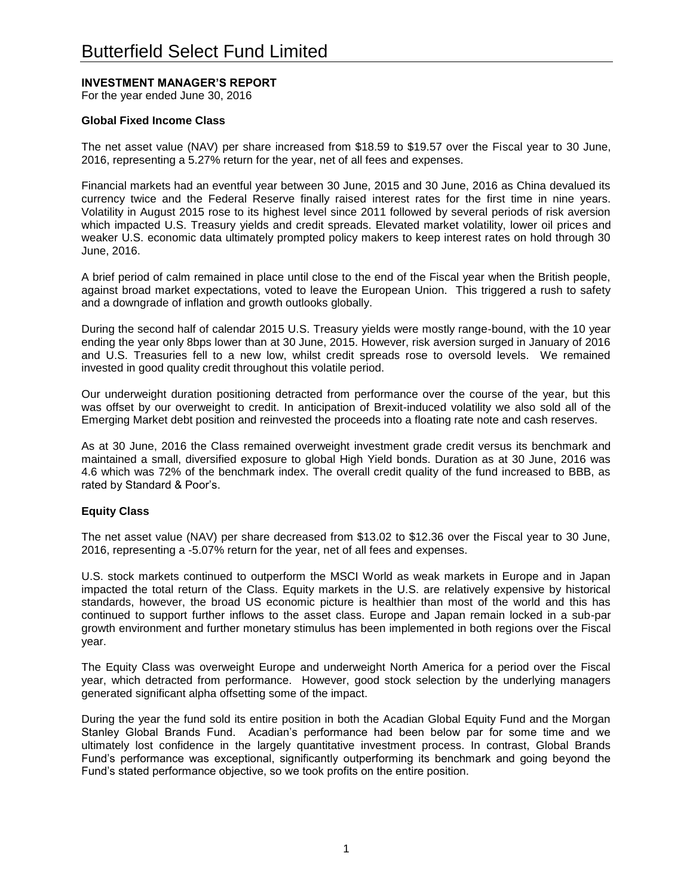# **INVESTMENT MANAGER'S REPORT**

For the year ended June 30, 2016

### **Global Fixed Income Class**

The net asset value (NAV) per share increased from \$18.59 to \$19.57 over the Fiscal year to 30 June, 2016, representing a 5.27% return for the year, net of all fees and expenses.

Financial markets had an eventful year between 30 June, 2015 and 30 June, 2016 as China devalued its currency twice and the Federal Reserve finally raised interest rates for the first time in nine years. Volatility in August 2015 rose to its highest level since 2011 followed by several periods of risk aversion which impacted U.S. Treasury yields and credit spreads. Elevated market volatility, lower oil prices and weaker U.S. economic data ultimately prompted policy makers to keep interest rates on hold through 30 June, 2016.

A brief period of calm remained in place until close to the end of the Fiscal year when the British people, against broad market expectations, voted to leave the European Union. This triggered a rush to safety and a downgrade of inflation and growth outlooks globally.

During the second half of calendar 2015 U.S. Treasury yields were mostly range-bound, with the 10 year ending the year only 8bps lower than at 30 June, 2015. However, risk aversion surged in January of 2016 and U.S. Treasuries fell to a new low, whilst credit spreads rose to oversold levels. We remained invested in good quality credit throughout this volatile period.

Our underweight duration positioning detracted from performance over the course of the year, but this was offset by our overweight to credit. In anticipation of Brexit-induced volatility we also sold all of the Emerging Market debt position and reinvested the proceeds into a floating rate note and cash reserves.

As at 30 June, 2016 the Class remained overweight investment grade credit versus its benchmark and maintained a small, diversified exposure to global High Yield bonds. Duration as at 30 June, 2016 was 4.6 which was 72% of the benchmark index. The overall credit quality of the fund increased to BBB, as rated by Standard & Poor's.

# **Equity Class**

The net asset value (NAV) per share decreased from \$13.02 to \$12.36 over the Fiscal year to 30 June, 2016, representing a -5.07% return for the year, net of all fees and expenses.

U.S. stock markets continued to outperform the MSCI World as weak markets in Europe and in Japan impacted the total return of the Class. Equity markets in the U.S. are relatively expensive by historical standards, however, the broad US economic picture is healthier than most of the world and this has continued to support further inflows to the asset class. Europe and Japan remain locked in a sub-par growth environment and further monetary stimulus has been implemented in both regions over the Fiscal year.

The Equity Class was overweight Europe and underweight North America for a period over the Fiscal year, which detracted from performance. However, good stock selection by the underlying managers generated significant alpha offsetting some of the impact.

During the year the fund sold its entire position in both the Acadian Global Equity Fund and the Morgan Stanley Global Brands Fund. Acadian's performance had been below par for some time and we ultimately lost confidence in the largely quantitative investment process. In contrast, Global Brands Fund's performance was exceptional, significantly outperforming its benchmark and going beyond the Fund's stated performance objective, so we took profits on the entire position.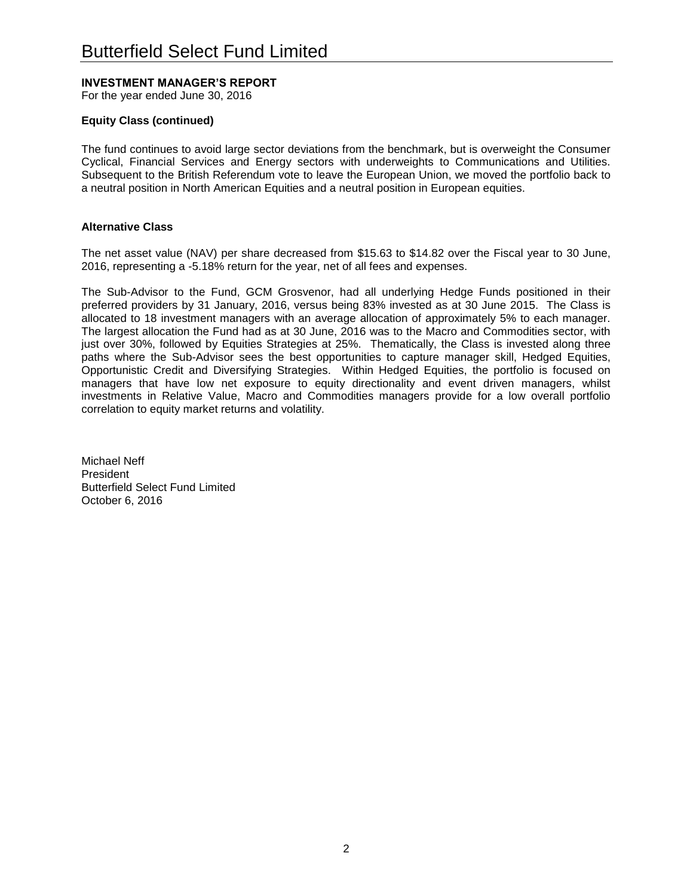# **INVESTMENT MANAGER'S REPORT**

For the year ended June 30, 2016

# **Equity Class (continued)**

The fund continues to avoid large sector deviations from the benchmark, but is overweight the Consumer Cyclical, Financial Services and Energy sectors with underweights to Communications and Utilities. Subsequent to the British Referendum vote to leave the European Union, we moved the portfolio back to a neutral position in North American Equities and a neutral position in European equities.

#### **Alternative Class**

The net asset value (NAV) per share decreased from \$15.63 to \$14.82 over the Fiscal year to 30 June, 2016, representing a -5.18% return for the year, net of all fees and expenses.

The Sub-Advisor to the Fund, GCM Grosvenor, had all underlying Hedge Funds positioned in their preferred providers by 31 January, 2016, versus being 83% invested as at 30 June 2015. The Class is allocated to 18 investment managers with an average allocation of approximately 5% to each manager. The largest allocation the Fund had as at 30 June, 2016 was to the Macro and Commodities sector, with just over 30%, followed by Equities Strategies at 25%. Thematically, the Class is invested along three paths where the Sub-Advisor sees the best opportunities to capture manager skill, Hedged Equities, Opportunistic Credit and Diversifying Strategies. Within Hedged Equities, the portfolio is focused on managers that have low net exposure to equity directionality and event driven managers, whilst investments in Relative Value, Macro and Commodities managers provide for a low overall portfolio correlation to equity market returns and volatility.

Michael Neff President Butterfield Select Fund Limited October 6, 2016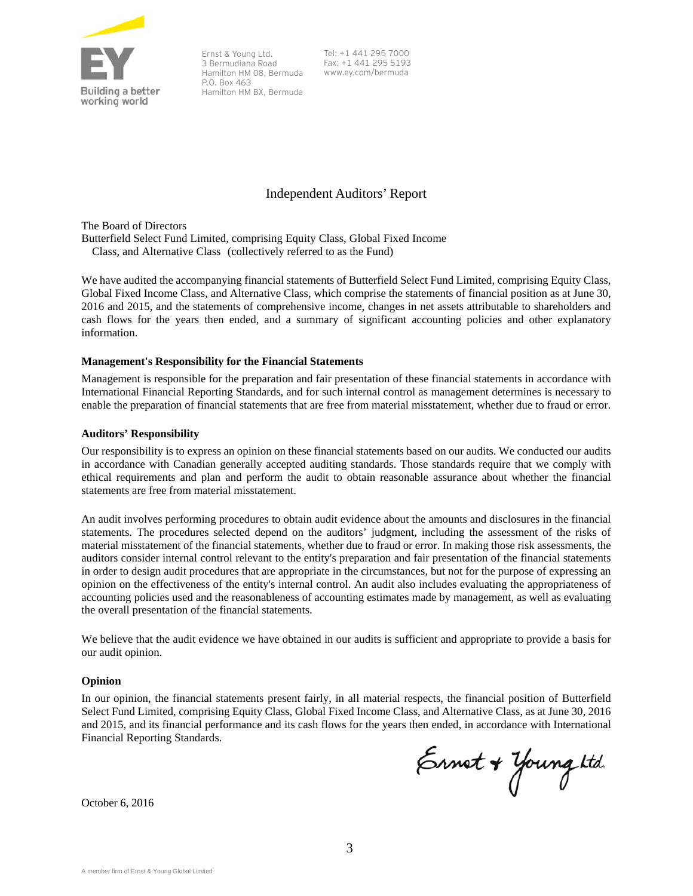

Ernst & Young Ltd. 3 Bermudiana Road Hamilton HM 08, Bermuda P.O. Box 463 Hamilton HM BX, Bermuda

Tel: +1 441 295 7000 Fax: +1 441 295 5193 www.ey.com/bermuda

# Independent Auditors' Report

The Board of Directors

Butterfield Select Fund Limited, comprising Equity Class, Global Fixed Income Class, and Alternative Class (collectively referred to as the Fund)

We have audited the accompanying financial statements of Butterfield Select Fund Limited, comprising Equity Class, Global Fixed Income Class, and Alternative Class, which comprise the statements of financial position as at June 30, 2016 and 2015, and the statements of comprehensive income, changes in net assets attributable to shareholders and cash flows for the years then ended, and a summary of significant accounting policies and other explanatory information.

#### **Management's Responsibility for the Financial Statements**

Management is responsible for the preparation and fair presentation of these financial statements in accordance with International Financial Reporting Standards, and for such internal control as management determines is necessary to enable the preparation of financial statements that are free from material misstatement, whether due to fraud or error.

#### **Auditors' Responsibility**

Our responsibility is to express an opinion on these financial statements based on our audits. We conducted our audits in accordance with Canadian generally accepted auditing standards. Those standards require that we comply with ethical requirements and plan and perform the audit to obtain reasonable assurance about whether the financial statements are free from material misstatement.

An audit involves performing procedures to obtain audit evidence about the amounts and disclosures in the financial statements. The procedures selected depend on the auditors' judgment, including the assessment of the risks of material misstatement of the financial statements, whether due to fraud or error. In making those risk assessments, the auditors consider internal control relevant to the entity's preparation and fair presentation of the financial statements in order to design audit procedures that are appropriate in the circumstances, but not for the purpose of expressing an opinion on the effectiveness of the entity's internal control. An audit also includes evaluating the appropriateness of accounting policies used and the reasonableness of accounting estimates made by management, as well as evaluating the overall presentation of the financial statements.

We believe that the audit evidence we have obtained in our audits is sufficient and appropriate to provide a basis for our audit opinion.

#### **Opinion**

In our opinion, the financial statements present fairly, in all material respects, the financial position of Butterfield Select Fund Limited, comprising Equity Class, Global Fixed Income Class, and Alternative Class, as at June 30, 2016 and 2015, and its financial performance and its cash flows for the years then ended, in accordance with International Financial Reporting Standards.

Ennet + Young ktd.

October 6, 2016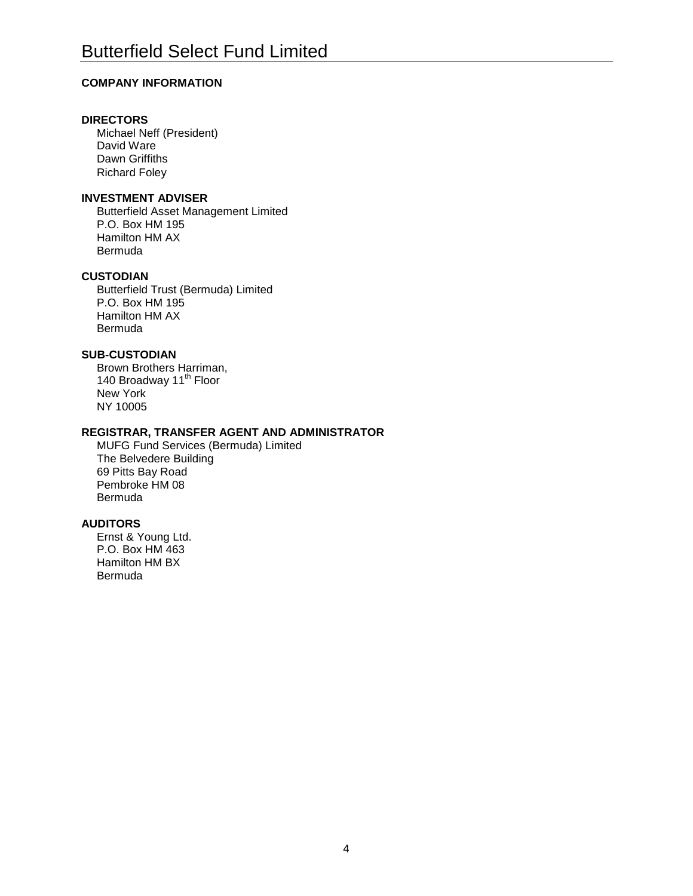# **COMPANY INFORMATION**

#### **DIRECTORS**

Michael Neff (President) David Ware Dawn Griffiths Richard Foley

#### **INVESTMENT ADVISER**

Butterfield Asset Management Limited P.O. Box HM 195 Hamilton HM AX Bermuda

# **CUSTODIAN**

Butterfield Trust (Bermuda) Limited P.O. Box HM 195 Hamilton HM AX Bermuda

# **SUB-CUSTODIAN**

Brown Brothers Harriman, 140 Broadway 11<sup>th</sup> Floor New York NY 10005

# **REGISTRAR, TRANSFER AGENT AND ADMINISTRATOR**

MUFG Fund Services (Bermuda) Limited The Belvedere Building 69 Pitts Bay Road Pembroke HM 08 Bermuda

# **AUDITORS**

Ernst & Young Ltd. P.O. Box HM 463 Hamilton HM BX Bermuda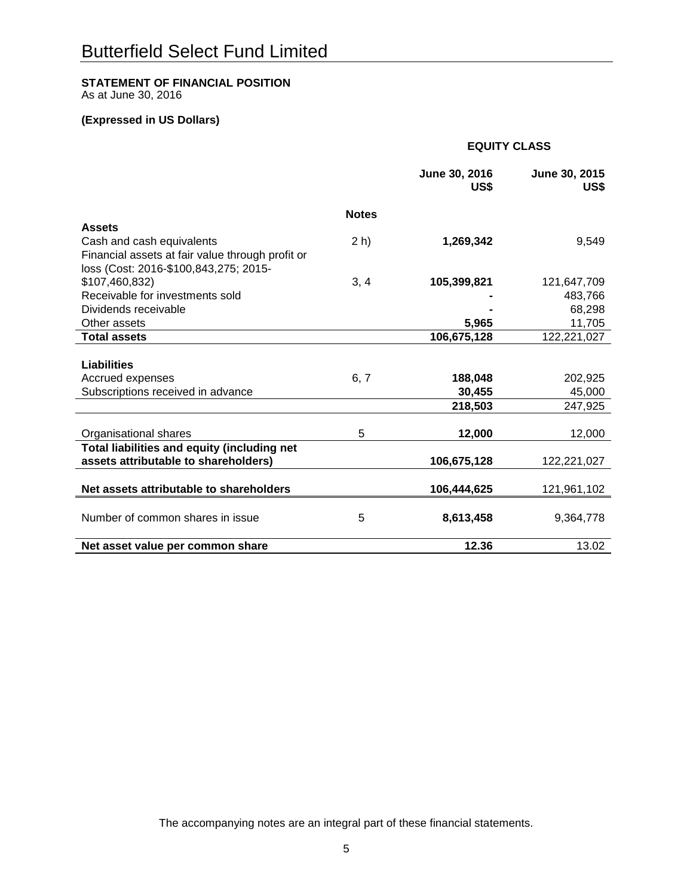# **STATEMENT OF FINANCIAL POSITION**

As at June 30, 2016

# **(Expressed in US Dollars)**

|                                                                      |              | <b>EQUITY CLASS</b>   |                       |  |
|----------------------------------------------------------------------|--------------|-----------------------|-----------------------|--|
|                                                                      |              | June 30, 2016<br>US\$ | June 30, 2015<br>US\$ |  |
|                                                                      | <b>Notes</b> |                       |                       |  |
| <b>Assets</b>                                                        |              |                       |                       |  |
| Cash and cash equivalents                                            | $2h$ )       | 1,269,342             | 9,549                 |  |
| Financial assets at fair value through profit or                     |              |                       |                       |  |
| loss (Cost: 2016-\$100,843,275; 2015-                                |              |                       |                       |  |
| \$107,460,832)                                                       | 3, 4         | 105,399,821           | 121,647,709           |  |
| Receivable for investments sold                                      |              |                       | 483,766               |  |
| Dividends receivable                                                 |              |                       | 68,298                |  |
| Other assets                                                         |              | 5,965                 | 11,705                |  |
| <b>Total assets</b>                                                  |              | 106,675,128           | 122,221,027           |  |
|                                                                      |              |                       |                       |  |
| <b>Liabilities</b>                                                   |              |                       |                       |  |
| Accrued expenses                                                     | 6, 7         | 188,048               | 202,925               |  |
| Subscriptions received in advance                                    |              | 30,455                | 45,000                |  |
|                                                                      |              | 218,503               | 247,925               |  |
|                                                                      | 5            |                       |                       |  |
| Organisational shares<br>Total liabilities and equity (including net |              | 12,000                | 12,000                |  |
| assets attributable to shareholders)                                 |              | 106,675,128           | 122,221,027           |  |
|                                                                      |              |                       |                       |  |
| Net assets attributable to shareholders                              |              | 106,444,625           | 121,961,102           |  |
|                                                                      |              |                       |                       |  |
| Number of common shares in issue                                     | 5            | 8,613,458             | 9,364,778             |  |
|                                                                      |              |                       |                       |  |
| Net asset value per common share                                     |              | 12.36                 | 13.02                 |  |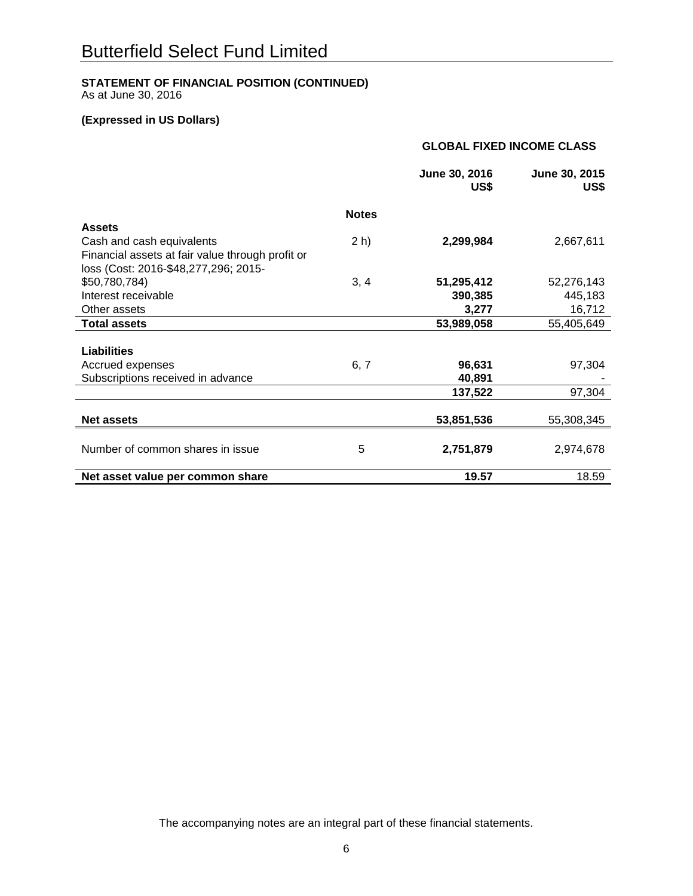# **STATEMENT OF FINANCIAL POSITION (CONTINUED)**

As at June 30, 2016

# **(Expressed in US Dollars)**

|                                                  |              | <b>GLOBAL FIXED INCOME CLASS</b> |                       |  |
|--------------------------------------------------|--------------|----------------------------------|-----------------------|--|
|                                                  |              | June 30, 2016<br>US\$            | June 30, 2015<br>US\$ |  |
|                                                  | <b>Notes</b> |                                  |                       |  |
| <b>Assets</b>                                    |              |                                  |                       |  |
| Cash and cash equivalents                        | $2h$ )       | 2,299,984                        | 2,667,611             |  |
| Financial assets at fair value through profit or |              |                                  |                       |  |
| loss (Cost: 2016-\$48,277,296; 2015-             |              |                                  |                       |  |
| \$50,780,784)                                    | 3, 4         | 51,295,412                       | 52,276,143            |  |
| Interest receivable                              |              | 390,385                          | 445,183               |  |
| Other assets                                     |              | 3,277                            | 16,712                |  |
| <b>Total assets</b>                              |              | 53,989,058                       | 55,405,649            |  |
|                                                  |              |                                  |                       |  |
| <b>Liabilities</b>                               |              |                                  |                       |  |
| Accrued expenses                                 | 6, 7         | 96,631                           | 97,304                |  |
| Subscriptions received in advance                |              | 40,891                           |                       |  |
|                                                  |              | 137,522                          | 97,304                |  |
|                                                  |              |                                  |                       |  |
| <b>Net assets</b>                                |              | 53,851,536                       | 55,308,345            |  |
|                                                  |              |                                  |                       |  |
| Number of common shares in issue                 | 5            | 2,751,879                        | 2,974,678             |  |
| Net asset value per common share                 |              | 19.57                            | 18.59                 |  |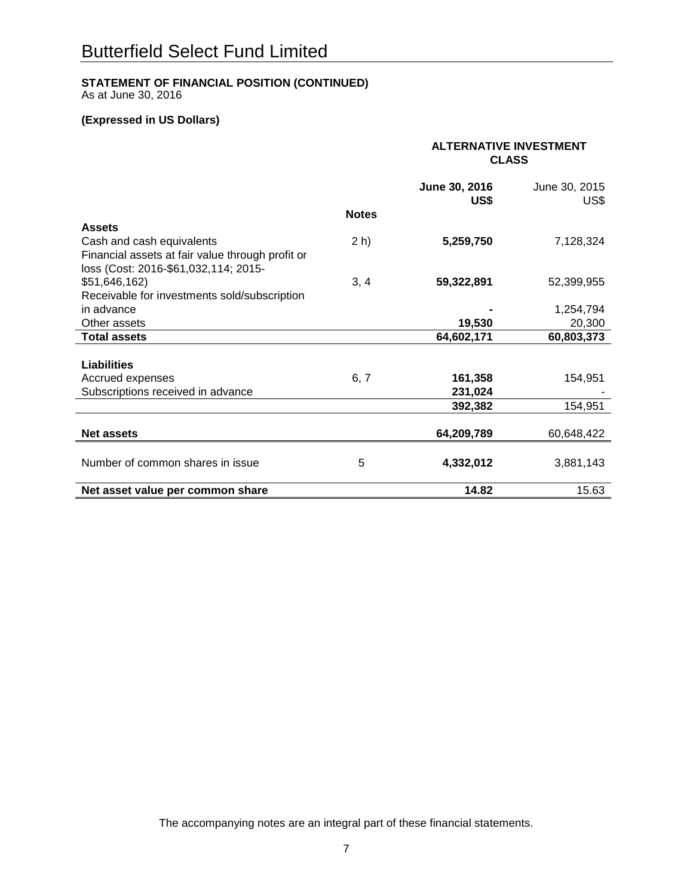# **STATEMENT OF FINANCIAL POSITION (CONTINUED)**

As at June 30, 2016

# **(Expressed in US Dollars)**

|                                                               |              | <b>ALTERNATIVE INVESTMENT</b><br><b>CLASS</b> |                       |
|---------------------------------------------------------------|--------------|-----------------------------------------------|-----------------------|
|                                                               |              | June 30, 2016<br>US\$                         | June 30, 2015<br>US\$ |
|                                                               | <b>Notes</b> |                                               |                       |
| <b>Assets</b>                                                 |              |                                               |                       |
| Cash and cash equivalents                                     | $2 h$ )      | 5,259,750                                     | 7,128,324             |
| Financial assets at fair value through profit or              |              |                                               |                       |
| loss (Cost: 2016-\$61,032,114; 2015-                          |              |                                               |                       |
| \$51,646,162)<br>Receivable for investments sold/subscription | 3, 4         | 59,322,891                                    | 52,399,955            |
| in advance                                                    |              |                                               | 1,254,794             |
| Other assets                                                  |              | 19,530                                        | 20,300                |
| <b>Total assets</b>                                           |              | 64,602,171                                    | 60,803,373            |
|                                                               |              |                                               |                       |
| <b>Liabilities</b>                                            |              |                                               |                       |
| Accrued expenses                                              | 6, 7         | 161,358                                       | 154,951               |
| Subscriptions received in advance                             |              | 231,024                                       |                       |
|                                                               |              | 392,382                                       | 154,951               |
|                                                               |              |                                               |                       |
| <b>Net assets</b>                                             |              | 64,209,789                                    | 60,648,422            |
|                                                               |              |                                               |                       |
| Number of common shares in issue                              | 5            | 4,332,012                                     | 3,881,143             |
| Net asset value per common share                              |              | 14.82                                         | 15.63                 |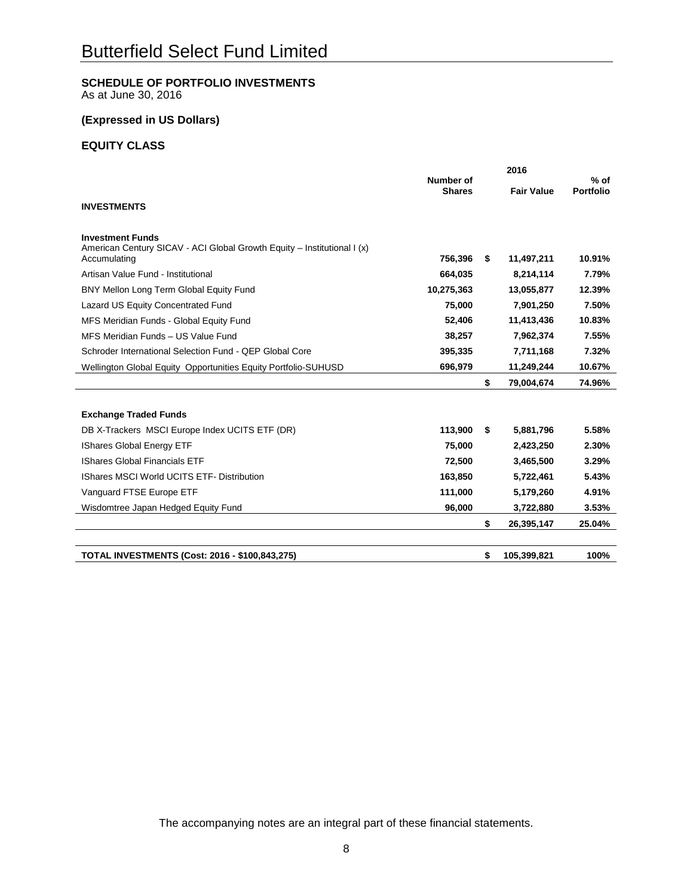# **SCHEDULE OF PORTFOLIO INVESTMENTS**

As at June 30, 2016

# **(Expressed in US Dollars)**

# **EQUITY CLASS**

|                                                                                                                    | 2016                       |    |                   |                            |
|--------------------------------------------------------------------------------------------------------------------|----------------------------|----|-------------------|----------------------------|
|                                                                                                                    | Number of<br><b>Shares</b> |    | <b>Fair Value</b> | $%$ of<br><b>Portfolio</b> |
| <b>INVESTMENTS</b>                                                                                                 |                            |    |                   |                            |
| <b>Investment Funds</b><br>American Century SICAV - ACI Global Growth Equity - Institutional I (x)<br>Accumulating | 756,396                    | \$ | 11,497,211        | 10.91%                     |
| Artisan Value Fund - Institutional                                                                                 | 664.035                    |    | 8.214.114         | 7.79%                      |
| BNY Mellon Long Term Global Equity Fund                                                                            | 10,275,363                 |    | 13,055,877        | 12.39%                     |
| Lazard US Equity Concentrated Fund                                                                                 | 75,000                     |    | 7,901,250         | 7.50%                      |
| MFS Meridian Funds - Global Equity Fund                                                                            | 52,406                     |    | 11,413,436        | 10.83%                     |
| MFS Meridian Funds - US Value Fund                                                                                 | 38,257                     |    | 7,962,374         | 7.55%                      |
| Schroder International Selection Fund - OEP Global Core                                                            | 395,335                    |    | 7,711,168         | 7.32%                      |
| Wellington Global Equity Opportunities Equity Portfolio-SUHUSD                                                     | 696,979                    |    | 11,249,244        | 10.67%                     |
|                                                                                                                    |                            | \$ | 79,004,674        | 74.96%                     |
|                                                                                                                    |                            |    |                   |                            |
| <b>Exchange Traded Funds</b>                                                                                       |                            |    |                   |                            |
| DB X-Trackers MSCI Europe Index UCITS ETF (DR)                                                                     | 113,900                    | S  | 5,881,796         | 5.58%                      |
| <b>IShares Global Energy ETF</b>                                                                                   | 75,000                     |    | 2.423.250         | 2.30%                      |
| <b>IShares Global Financials ETF</b>                                                                               | 72,500                     |    | 3,465,500         | 3.29%                      |
| <b>IShares MSCI World UCITS ETF-Distribution</b>                                                                   | 163,850                    |    | 5,722,461         | 5.43%                      |
| Vanguard FTSE Europe ETF                                                                                           | 111,000                    |    | 5,179,260         | 4.91%                      |
| Wisdomtree Japan Hedged Equity Fund                                                                                | 96,000                     |    | 3,722,880         | 3.53%                      |
|                                                                                                                    |                            | \$ | 26,395,147        | 25.04%                     |
|                                                                                                                    |                            |    |                   |                            |
| <b>TOTAL INVESTMENTS (Cost: 2016 - \$100,843,275)</b>                                                              |                            | \$ | 105,399,821       | 100%                       |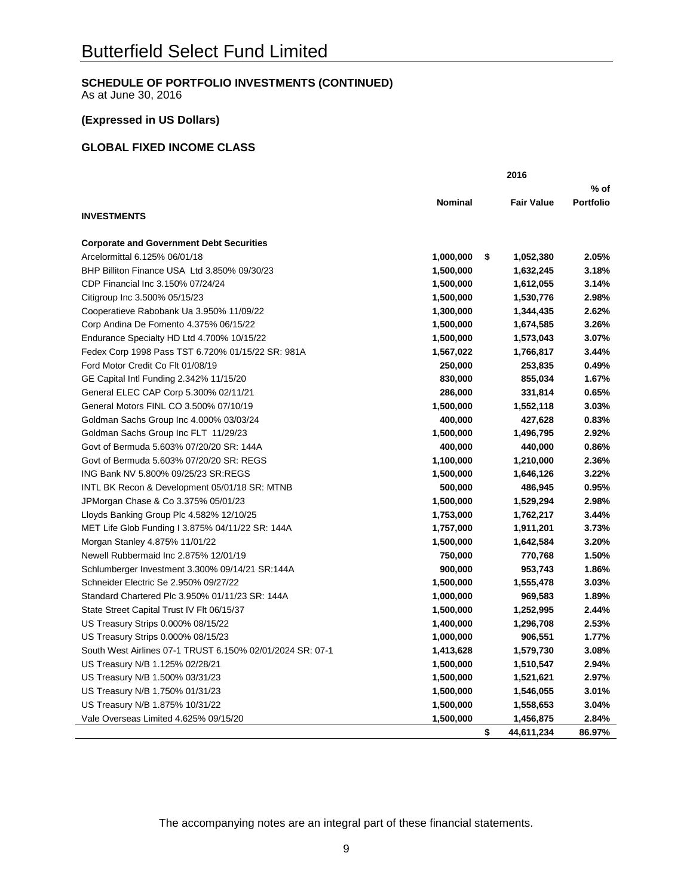# **SCHEDULE OF PORTFOLIO INVESTMENTS (CONTINUED)**

As at June 30, 2016

#### **(Expressed in US Dollars)**

# **GLOBAL FIXED INCOME CLASS**

|                                                           |                | 2016              |                  |
|-----------------------------------------------------------|----------------|-------------------|------------------|
|                                                           |                |                   | % of             |
|                                                           | <b>Nominal</b> | <b>Fair Value</b> | <b>Portfolio</b> |
| <b>INVESTMENTS</b>                                        |                |                   |                  |
| <b>Corporate and Government Debt Securities</b>           |                |                   |                  |
| Arcelormittal 6.125% 06/01/18                             | 1,000,000      | \$<br>1,052,380   | 2.05%            |
| BHP Billiton Finance USA Ltd 3.850% 09/30/23              | 1,500,000      | 1,632,245         | 3.18%            |
| CDP Financial Inc 3.150% 07/24/24                         | 1,500,000      | 1,612,055         | 3.14%            |
| Citigroup Inc 3.500% 05/15/23                             | 1,500,000      | 1,530,776         | 2.98%            |
| Cooperatieve Rabobank Ua 3.950% 11/09/22                  | 1,300,000      | 1,344,435         | 2.62%            |
| Corp Andina De Fomento 4.375% 06/15/22                    | 1,500,000      | 1,674,585         | 3.26%            |
| Endurance Specialty HD Ltd 4.700% 10/15/22                | 1,500,000      | 1,573,043         | 3.07%            |
| Fedex Corp 1998 Pass TST 6.720% 01/15/22 SR: 981A         | 1,567,022      | 1,766,817         | 3.44%            |
| Ford Motor Credit Co Flt 01/08/19                         | 250,000        | 253,835           | 0.49%            |
| GE Capital Intl Funding 2.342% 11/15/20                   | 830,000        | 855,034           | 1.67%            |
| General ELEC CAP Corp 5.300% 02/11/21                     | 286,000        | 331,814           | 0.65%            |
| General Motors FINL CO 3.500% 07/10/19                    | 1,500,000      | 1,552,118         | 3.03%            |
| Goldman Sachs Group Inc 4.000% 03/03/24                   | 400,000        | 427,628           | 0.83%            |
| Goldman Sachs Group Inc FLT 11/29/23                      | 1,500,000      | 1,496,795         | 2.92%            |
| Govt of Bermuda 5.603% 07/20/20 SR: 144A                  | 400,000        | 440,000           | 0.86%            |
| Govt of Bermuda 5.603% 07/20/20 SR: REGS                  | 1,100,000      | 1,210,000         | 2.36%            |
| ING Bank NV 5.800% 09/25/23 SR:REGS                       | 1,500,000      | 1,646,126         | 3.22%            |
| INTL BK Recon & Development 05/01/18 SR: MTNB             | 500,000        | 486,945           | 0.95%            |
| JPMorgan Chase & Co 3.375% 05/01/23                       | 1,500,000      | 1,529,294         | 2.98%            |
| Lloyds Banking Group Plc 4.582% 12/10/25                  | 1,753,000      | 1,762,217         | 3.44%            |
| MET Life Glob Funding I 3.875% 04/11/22 SR: 144A          | 1,757,000      | 1,911,201         | 3.73%            |
| Morgan Stanley 4.875% 11/01/22                            | 1,500,000      | 1,642,584         | 3.20%            |
| Newell Rubbermaid Inc 2.875% 12/01/19                     | 750,000        | 770,768           | 1.50%            |
| Schlumberger Investment 3.300% 09/14/21 SR:144A           | 900,000        | 953,743           | 1.86%            |
| Schneider Electric Se 2.950% 09/27/22                     | 1,500,000      | 1,555,478         | 3.03%            |
| Standard Chartered Plc 3.950% 01/11/23 SR: 144A           | 1,000,000      | 969,583           | 1.89%            |
| State Street Capital Trust IV Flt 06/15/37                | 1,500,000      | 1,252,995         | 2.44%            |
| US Treasury Strips 0.000% 08/15/22                        | 1,400,000      | 1,296,708         | 2.53%            |
| US Treasury Strips 0.000% 08/15/23                        | 1,000,000      | 906,551           | 1.77%            |
| South West Airlines 07-1 TRUST 6.150% 02/01/2024 SR: 07-1 | 1,413,628      | 1,579,730         | 3.08%            |
| US Treasury N/B 1.125% 02/28/21                           | 1,500,000      | 1,510,547         | 2.94%            |
| US Treasury N/B 1.500% 03/31/23                           | 1,500,000      | 1,521,621         | 2.97%            |
| US Treasury N/B 1.750% 01/31/23                           | 1,500,000      | 1,546,055         | 3.01%            |
| US Treasury N/B 1.875% 10/31/22                           | 1,500,000      | 1,558,653         | 3.04%            |
| Vale Overseas Limited 4.625% 09/15/20                     | 1,500,000      | 1,456,875         | 2.84%            |
|                                                           |                | \$<br>44,611,234  | 86.97%           |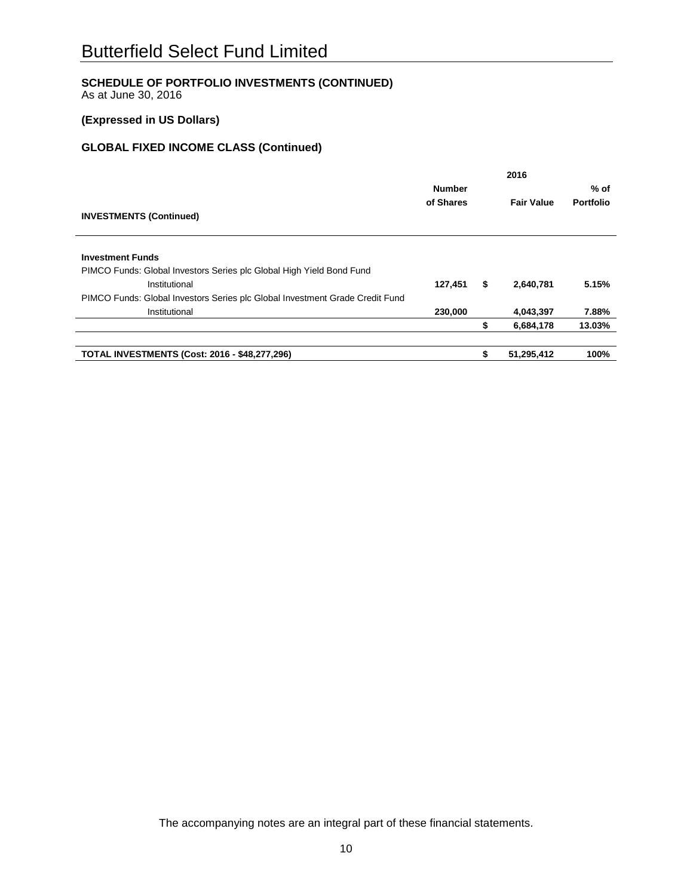# **SCHEDULE OF PORTFOLIO INVESTMENTS (CONTINUED)**

As at June 30, 2016

# **(Expressed in US Dollars)**

# **GLOBAL FIXED INCOME CLASS (Continued)**

|                                                                              | 2016          |    |                   |                  |
|------------------------------------------------------------------------------|---------------|----|-------------------|------------------|
|                                                                              | <b>Number</b> |    |                   | % of             |
|                                                                              | of Shares     |    | <b>Fair Value</b> | <b>Portfolio</b> |
| <b>INVESTMENTS (Continued)</b>                                               |               |    |                   |                  |
| <b>Investment Funds</b>                                                      |               |    |                   |                  |
| PIMCO Funds: Global Investors Series plc Global High Yield Bond Fund         |               |    |                   |                  |
| Institutional                                                                | 127,451       | \$ | 2,640,781         | 5.15%            |
| PIMCO Funds: Global Investors Series plc Global Investment Grade Credit Fund |               |    |                   |                  |
| Institutional                                                                | 230,000       |    | 4,043,397         | 7.88%            |
|                                                                              |               | \$ | 6,684,178         | 13.03%           |
| <b>TOTAL INVESTMENTS (Cost: 2016 - \$48,277,296)</b>                         |               | \$ | 51,295,412        | 100%             |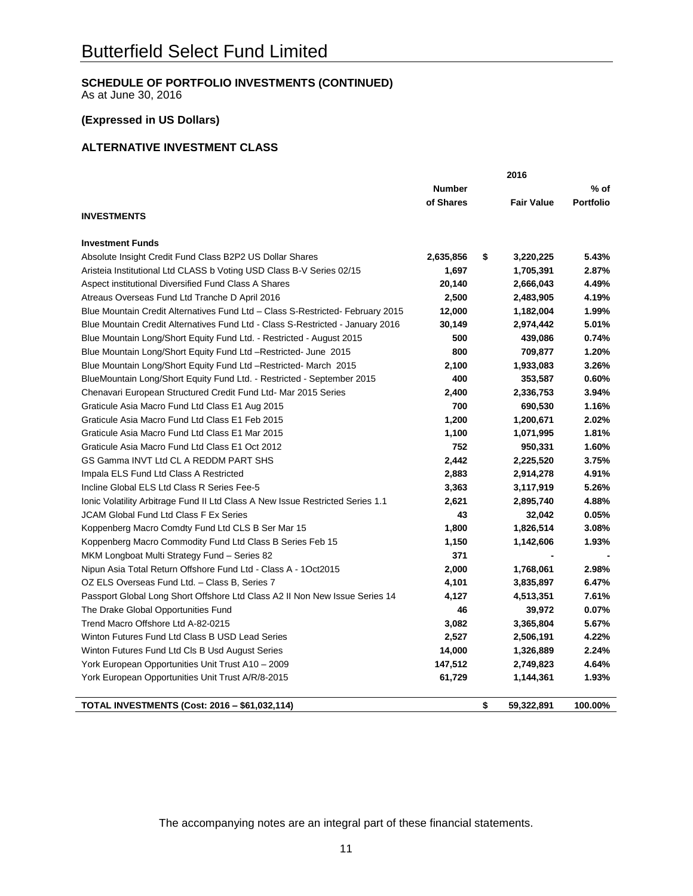# **SCHEDULE OF PORTFOLIO INVESTMENTS (CONTINUED)**

As at June 30, 2016

# **(Expressed in US Dollars)**

# **ALTERNATIVE INVESTMENT CLASS**

|                                                                                | 2016          |    |                   |                  |
|--------------------------------------------------------------------------------|---------------|----|-------------------|------------------|
|                                                                                | <b>Number</b> |    |                   | % of             |
|                                                                                | of Shares     |    | <b>Fair Value</b> | <b>Portfolio</b> |
| <b>INVESTMENTS</b>                                                             |               |    |                   |                  |
| <b>Investment Funds</b>                                                        |               |    |                   |                  |
| Absolute Insight Credit Fund Class B2P2 US Dollar Shares                       | 2,635,856     | \$ | 3,220,225         | 5.43%            |
| Aristeia Institutional Ltd CLASS b Voting USD Class B-V Series 02/15           | 1,697         |    | 1,705,391         | 2.87%            |
| Aspect institutional Diversified Fund Class A Shares                           | 20,140        |    | 2,666,043         | 4.49%            |
| Atreaus Overseas Fund Ltd Tranche D April 2016                                 | 2,500         |    | 2,483,905         | 4.19%            |
| Blue Mountain Credit Alternatives Fund Ltd - Class S-Restricted- February 2015 | 12,000        |    | 1,182,004         | 1.99%            |
| Blue Mountain Credit Alternatives Fund Ltd - Class S-Restricted - January 2016 | 30,149        |    | 2,974,442         | 5.01%            |
| Blue Mountain Long/Short Equity Fund Ltd. - Restricted - August 2015           | 500           |    | 439,086           | 0.74%            |
| Blue Mountain Long/Short Equity Fund Ltd -Restricted- June 2015                | 800           |    | 709,877           | 1.20%            |
| Blue Mountain Long/Short Equity Fund Ltd - Restricted- March 2015              | 2,100         |    | 1,933,083         | 3.26%            |
| BlueMountain Long/Short Equity Fund Ltd. - Restricted - September 2015         | 400           |    | 353,587           | 0.60%            |
| Chenavari European Structured Credit Fund Ltd- Mar 2015 Series                 | 2,400         |    | 2,336,753         | 3.94%            |
| Graticule Asia Macro Fund Ltd Class E1 Aug 2015                                | 700           |    | 690,530           | 1.16%            |
| Graticule Asia Macro Fund Ltd Class E1 Feb 2015                                | 1,200         |    | 1,200,671         | 2.02%            |
| Graticule Asia Macro Fund Ltd Class E1 Mar 2015                                | 1,100         |    | 1,071,995         | 1.81%            |
| Graticule Asia Macro Fund Ltd Class E1 Oct 2012                                | 752           |    | 950,331           | 1.60%            |
| GS Gamma INVT Ltd CL A REDDM PART SHS                                          | 2,442         |    | 2,225,520         | 3.75%            |
| Impala ELS Fund Ltd Class A Restricted                                         | 2,883         |    | 2,914,278         | 4.91%            |
| Incline Global ELS Ltd Class R Series Fee-5                                    | 3,363         |    | 3,117,919         | 5.26%            |
| Ionic Volatility Arbitrage Fund II Ltd Class A New Issue Restricted Series 1.1 | 2,621         |    | 2,895,740         | 4.88%            |
| JCAM Global Fund Ltd Class F Ex Series                                         | 43            |    | 32,042            | 0.05%            |
| Koppenberg Macro Comdty Fund Ltd CLS B Ser Mar 15                              | 1,800         |    | 1,826,514         | 3.08%            |
| Koppenberg Macro Commodity Fund Ltd Class B Series Feb 15                      | 1,150         |    | 1,142,606         | 1.93%            |
| MKM Longboat Multi Strategy Fund - Series 82                                   | 371           |    |                   |                  |
| Nipun Asia Total Return Offshore Fund Ltd - Class A - 1Oct2015                 | 2,000         |    | 1,768,061         | 2.98%            |
| OZ ELS Overseas Fund Ltd. - Class B, Series 7                                  | 4,101         |    | 3,835,897         | 6.47%            |
| Passport Global Long Short Offshore Ltd Class A2 II Non New Issue Series 14    | 4,127         |    | 4,513,351         | 7.61%            |
| The Drake Global Opportunities Fund                                            | 46            |    | 39,972            | $0.07\%$         |
| Trend Macro Offshore Ltd A-82-0215                                             | 3,082         |    | 3,365,804         | 5.67%            |
| Winton Futures Fund Ltd Class B USD Lead Series                                | 2,527         |    | 2,506,191         | 4.22%            |
| Winton Futures Fund Ltd Cls B Usd August Series                                | 14,000        |    | 1,326,889         | 2.24%            |
| York European Opportunities Unit Trust A10 - 2009                              | 147,512       |    | 2,749,823         | 4.64%            |
| York European Opportunities Unit Trust A/R/8-2015                              | 61,729        |    | 1,144,361         | 1.93%            |
| TOTAL INVESTMENTS (Cost: 2016 - \$61,032,114)                                  |               | \$ | 59,322,891        | 100.00%          |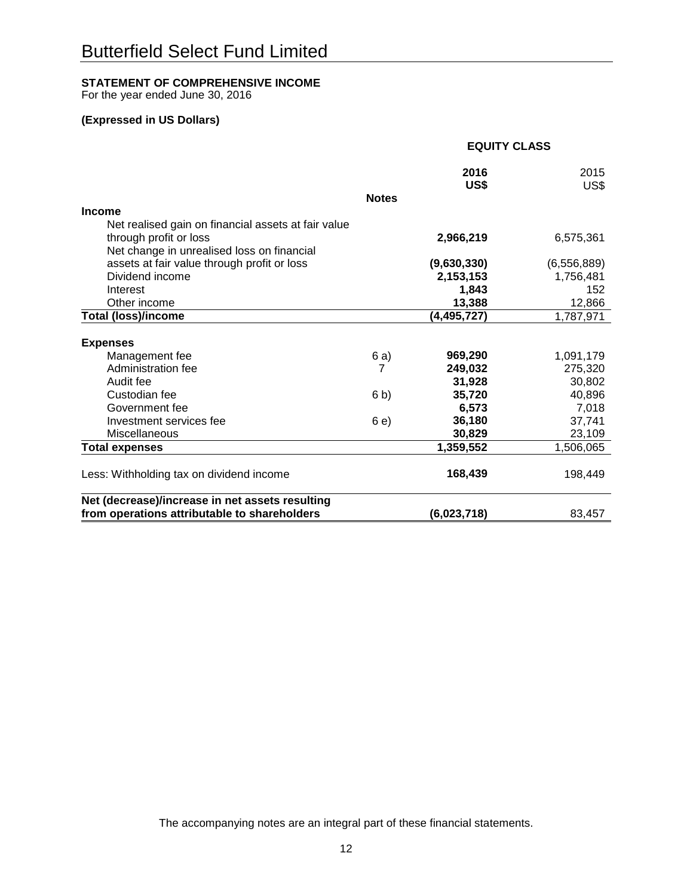# **STATEMENT OF COMPREHENSIVE INCOME**

For the year ended June 30, 2016

# **(Expressed in US Dollars)**

|                                                     | <b>EQUITY CLASS</b> |               |               |
|-----------------------------------------------------|---------------------|---------------|---------------|
|                                                     |                     | 2016<br>US\$  | 2015<br>US\$  |
|                                                     | <b>Notes</b>        |               |               |
| Income                                              |                     |               |               |
| Net realised gain on financial assets at fair value |                     |               |               |
| through profit or loss                              |                     | 2,966,219     | 6,575,361     |
| Net change in unrealised loss on financial          |                     |               |               |
| assets at fair value through profit or loss         |                     | (9,630,330)   | (6, 556, 889) |
| Dividend income                                     |                     | 2,153,153     | 1,756,481     |
| Interest                                            |                     | 1.843         | 152           |
| Other income                                        |                     | 13,388        | 12,866        |
| <b>Total (loss)/income</b>                          |                     | (4, 495, 727) | 1,787,971     |
| <b>Expenses</b>                                     |                     |               |               |
| Management fee                                      | 6 a)                | 969,290       | 1,091,179     |
| Administration fee                                  | 7                   | 249,032       | 275,320       |
| Audit fee                                           |                     | 31,928        | 30,802        |
| Custodian fee                                       | 6 <sub>b</sub>      | 35,720        | 40,896        |
| Government fee                                      |                     | 6,573         | 7,018         |
| Investment services fee                             | 6 e)                | 36,180        | 37,741        |
| Miscellaneous                                       |                     | 30,829        | 23,109        |
| Total expenses                                      |                     | 1,359,552     | 1,506,065     |
|                                                     |                     |               |               |
| Less: Withholding tax on dividend income            |                     | 168,439       | 198,449       |
| Net (decrease)/increase in net assets resulting     |                     |               |               |
| from operations attributable to shareholders        |                     | (6,023,718)   | 83,457        |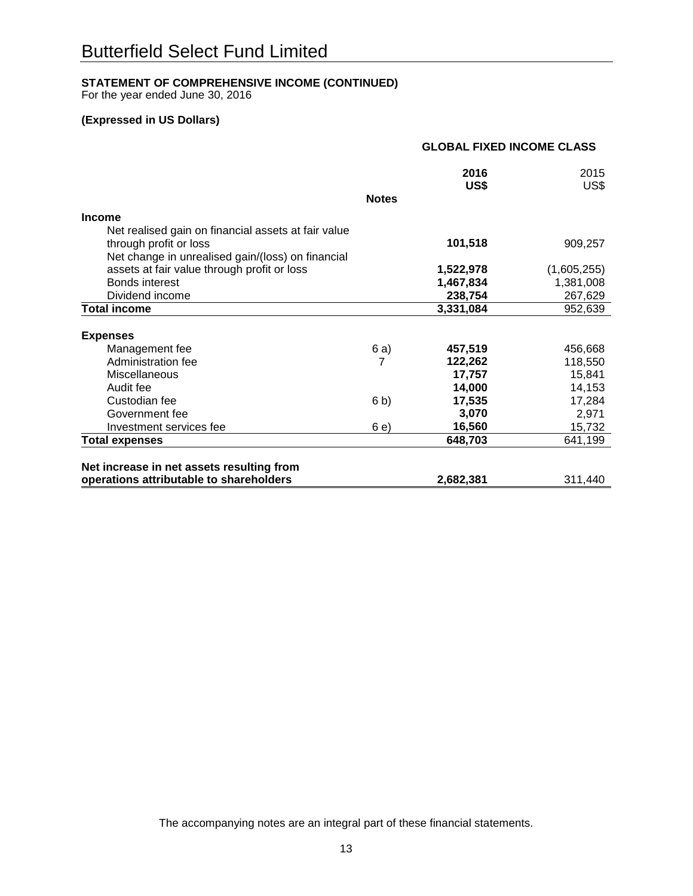# **STATEMENT OF COMPREHENSIVE INCOME (CONTINUED)**

For the year ended June 30, 2016

# **(Expressed in US Dollars)**

|                                                     |              | <b>GLOBAL FIXED INCOME CLASS</b> |              |  |
|-----------------------------------------------------|--------------|----------------------------------|--------------|--|
|                                                     |              | 2016<br>US\$                     | 2015<br>US\$ |  |
|                                                     | <b>Notes</b> |                                  |              |  |
| <b>Income</b>                                       |              |                                  |              |  |
| Net realised gain on financial assets at fair value |              |                                  |              |  |
| through profit or loss                              |              | 101,518                          | 909,257      |  |
| Net change in unrealised gain/(loss) on financial   |              |                                  |              |  |
| assets at fair value through profit or loss         |              | 1,522,978                        | (1,605,255)  |  |
| <b>Bonds interest</b>                               |              | 1,467,834                        | 1,381,008    |  |
| Dividend income                                     |              | 238,754                          | 267,629      |  |
| <b>Total income</b>                                 |              | 3,331,084                        | 952,639      |  |
|                                                     |              |                                  |              |  |
| <b>Expenses</b>                                     |              |                                  |              |  |
| Management fee                                      | 6 a)         | 457,519                          | 456,668      |  |
| Administration fee                                  | 7            | 122,262                          | 118,550      |  |
| Miscellaneous                                       |              | 17,757                           | 15,841       |  |
| Audit fee                                           |              | 14,000                           | 14,153       |  |
| Custodian fee                                       | 6 b)         | 17,535                           | 17,284       |  |
| Government fee                                      |              | 3,070                            | 2,971        |  |
| Investment services fee                             | 6 e)         | 16,560                           | 15,732       |  |
| <b>Total expenses</b>                               |              | 648,703                          | 641,199      |  |
|                                                     |              |                                  |              |  |
| Net increase in net assets resulting from           |              |                                  |              |  |
| operations attributable to shareholders             |              | 2,682,381                        | 311,440      |  |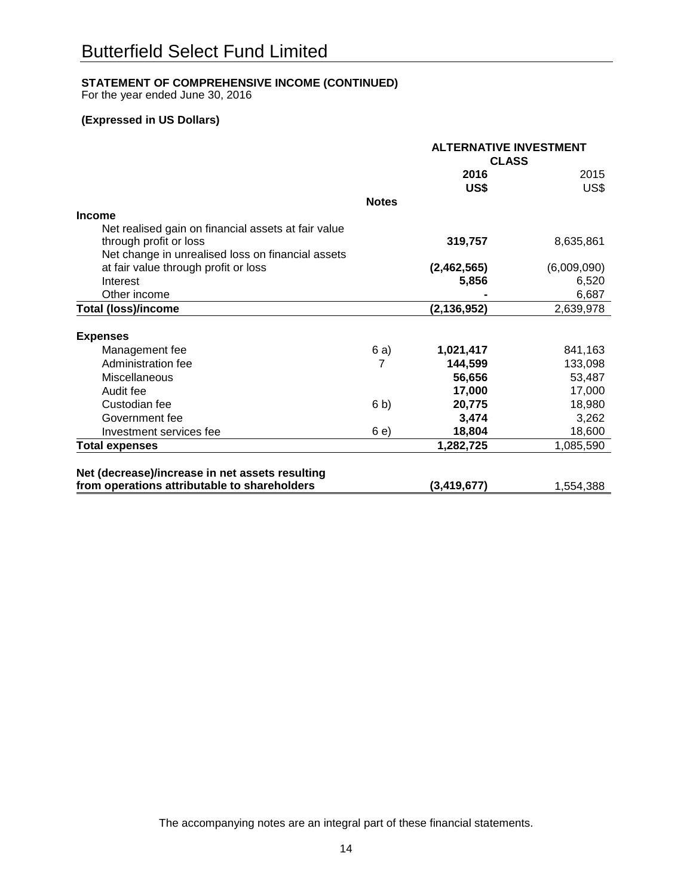# **STATEMENT OF COMPREHENSIVE INCOME (CONTINUED)**

For the year ended June 30, 2016

# **(Expressed in US Dollars)**

|                                                     |              | <b>ALTERNATIVE INVESTMENT</b><br><b>CLASS</b> |             |  |
|-----------------------------------------------------|--------------|-----------------------------------------------|-------------|--|
|                                                     |              | 2016                                          | 2015        |  |
|                                                     |              | US\$                                          | US\$        |  |
|                                                     | <b>Notes</b> |                                               |             |  |
| <b>Income</b>                                       |              |                                               |             |  |
| Net realised gain on financial assets at fair value |              |                                               |             |  |
| through profit or loss                              |              | 319,757                                       | 8,635,861   |  |
| Net change in unrealised loss on financial assets   |              |                                               |             |  |
| at fair value through profit or loss                |              | (2,462,565)                                   | (6,009,090) |  |
| Interest                                            |              | 5,856                                         | 6,520       |  |
| Other income                                        |              |                                               | 6,687       |  |
| <b>Total (loss)/income</b>                          |              | (2, 136, 952)                                 | 2,639,978   |  |
|                                                     |              |                                               |             |  |
| <b>Expenses</b>                                     |              |                                               |             |  |
| Management fee                                      | 6 a)         | 1,021,417                                     | 841,163     |  |
| Administration fee                                  | 7            | 144,599                                       | 133,098     |  |
| Miscellaneous                                       |              | 56,656                                        | 53,487      |  |
| Audit fee                                           |              | 17,000                                        | 17,000      |  |
| Custodian fee                                       | 6 b)         | 20,775                                        | 18,980      |  |
| Government fee                                      |              | 3,474                                         | 3,262       |  |
| Investment services fee                             | 6 e)         | 18,804                                        | 18,600      |  |
| <b>Total expenses</b>                               |              | 1,282,725                                     | 1,085,590   |  |
|                                                     |              |                                               |             |  |
| Net (decrease)/increase in net assets resulting     |              |                                               |             |  |
| from operations attributable to shareholders        |              | (3, 419, 677)                                 | 1,554,388   |  |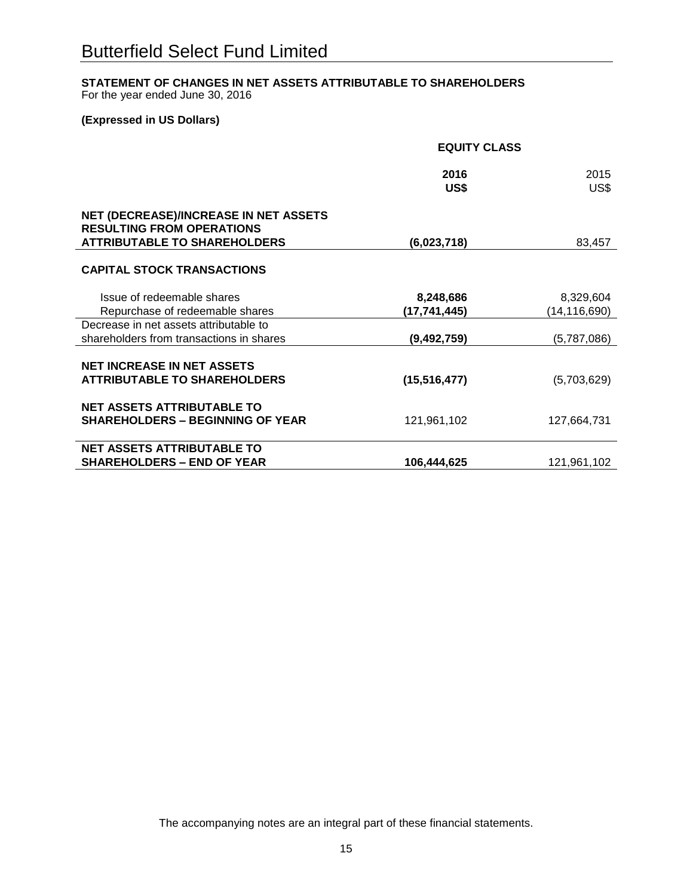# **STATEMENT OF CHANGES IN NET ASSETS ATTRIBUTABLE TO SHAREHOLDERS**

For the year ended June 30, 2016

# **(Expressed in US Dollars)**

|                                                                                                                  | <b>EQUITY CLASS</b>       |                             |  |
|------------------------------------------------------------------------------------------------------------------|---------------------------|-----------------------------|--|
|                                                                                                                  | 2016<br>US\$              | 2015<br>US\$                |  |
| NET (DECREASE)/INCREASE IN NET ASSETS<br><b>RESULTING FROM OPERATIONS</b><br><b>ATTRIBUTABLE TO SHAREHOLDERS</b> | (6,023,718)               | 83,457                      |  |
| <b>CAPITAL STOCK TRANSACTIONS</b>                                                                                |                           |                             |  |
| Issue of redeemable shares<br>Repurchase of redeemable shares                                                    | 8,248,686<br>(17,741,445) | 8,329,604<br>(14, 116, 690) |  |
| Decrease in net assets attributable to<br>shareholders from transactions in shares                               | (9,492,759)               | (5,787,086)                 |  |
| <b>NET INCREASE IN NET ASSETS</b><br><b>ATTRIBUTABLE TO SHAREHOLDERS</b>                                         | (15, 516, 477)            | (5,703,629)                 |  |
| <b>NET ASSETS ATTRIBUTABLE TO</b><br><b>SHAREHOLDERS - BEGINNING OF YEAR</b>                                     | 121,961,102               | 127,664,731                 |  |
| <b>NET ASSETS ATTRIBUTABLE TO</b><br><b>SHAREHOLDERS - END OF YEAR</b>                                           | 106,444,625               | 121,961,102                 |  |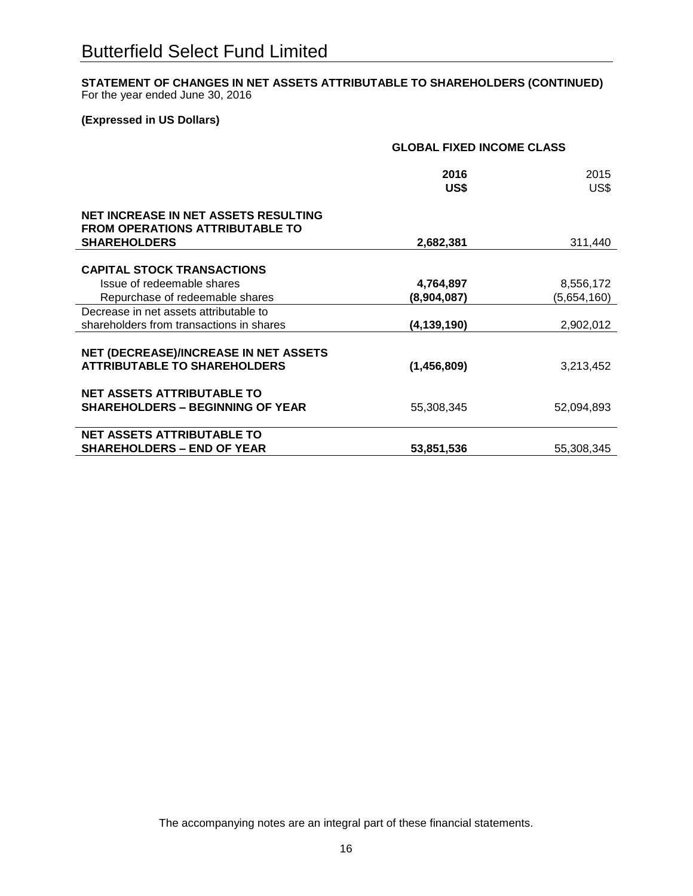# **STATEMENT OF CHANGES IN NET ASSETS ATTRIBUTABLE TO SHAREHOLDERS (CONTINUED)** For the year ended June 30, 2016

# **(Expressed in US Dollars)**

|                                                                                                              | <b>GLOBAL FIXED INCOME CLASS</b> |              |  |  |
|--------------------------------------------------------------------------------------------------------------|----------------------------------|--------------|--|--|
|                                                                                                              | 2016<br>US\$                     | 2015<br>US\$ |  |  |
| <b>NET INCREASE IN NET ASSETS RESULTING</b><br><b>FROM OPERATIONS ATTRIBUTABLE TO</b><br><b>SHAREHOLDERS</b> | 2,682,381                        | 311,440      |  |  |
|                                                                                                              |                                  |              |  |  |
| <b>CAPITAL STOCK TRANSACTIONS</b>                                                                            |                                  |              |  |  |
| Issue of redeemable shares                                                                                   | 4,764,897                        | 8,556,172    |  |  |
| Repurchase of redeemable shares                                                                              | (8,904,087)                      | (5,654,160)  |  |  |
| Decrease in net assets attributable to                                                                       |                                  |              |  |  |
| shareholders from transactions in shares                                                                     | (4, 139, 190)                    | 2,902,012    |  |  |
| <b>NET (DECREASE)/INCREASE IN NET ASSETS</b><br><b>ATTRIBUTABLE TO SHAREHOLDERS</b>                          | (1,456,809)                      | 3,213,452    |  |  |
| <b>NET ASSETS ATTRIBUTABLE TO</b><br><b>SHAREHOLDERS - BEGINNING OF YEAR</b>                                 | 55,308,345                       | 52,094,893   |  |  |
| <b>NET ASSETS ATTRIBUTABLE TO</b><br><b>SHAREHOLDERS – END OF YEAR</b>                                       | 53,851,536                       | 55,308,345   |  |  |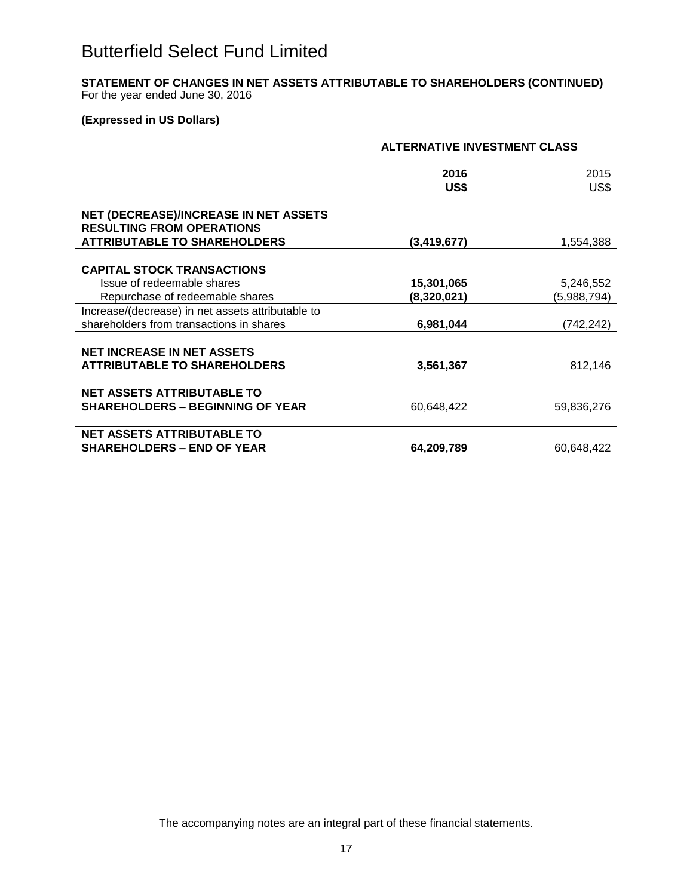# **STATEMENT OF CHANGES IN NET ASSETS ATTRIBUTABLE TO SHAREHOLDERS (CONTINUED)** For the year ended June 30, 2016

# **(Expressed in US Dollars)**

|                                                                                                                  | <b>ALTERNATIVE INVESTMENT CLASS</b> |              |  |
|------------------------------------------------------------------------------------------------------------------|-------------------------------------|--------------|--|
|                                                                                                                  | 2016<br>US\$                        | 2015<br>US\$ |  |
| NET (DECREASE)/INCREASE IN NET ASSETS<br><b>RESULTING FROM OPERATIONS</b><br><b>ATTRIBUTABLE TO SHAREHOLDERS</b> | (3, 419, 677)                       | 1,554,388    |  |
| <b>CAPITAL STOCK TRANSACTIONS</b>                                                                                |                                     |              |  |
| Issue of redeemable shares                                                                                       | 15,301,065                          | 5,246,552    |  |
| Repurchase of redeemable shares                                                                                  | (8,320,021)                         | (5,988,794)  |  |
| Increase/(decrease) in net assets attributable to                                                                |                                     |              |  |
| shareholders from transactions in shares                                                                         | 6,981,044                           | (742,242)    |  |
| <b>NET INCREASE IN NET ASSETS</b>                                                                                |                                     |              |  |
| <b>ATTRIBUTABLE TO SHAREHOLDERS</b>                                                                              | 3,561,367                           | 812,146      |  |
| <b>NET ASSETS ATTRIBUTABLE TO</b><br><b>SHAREHOLDERS - BEGINNING OF YEAR</b>                                     | 60,648,422                          | 59,836,276   |  |
|                                                                                                                  |                                     |              |  |
| <b>NET ASSETS ATTRIBUTABLE TO</b>                                                                                |                                     |              |  |
| <b>SHAREHOLDERS - END OF YEAR</b>                                                                                | 64,209,789                          | 60,648,422   |  |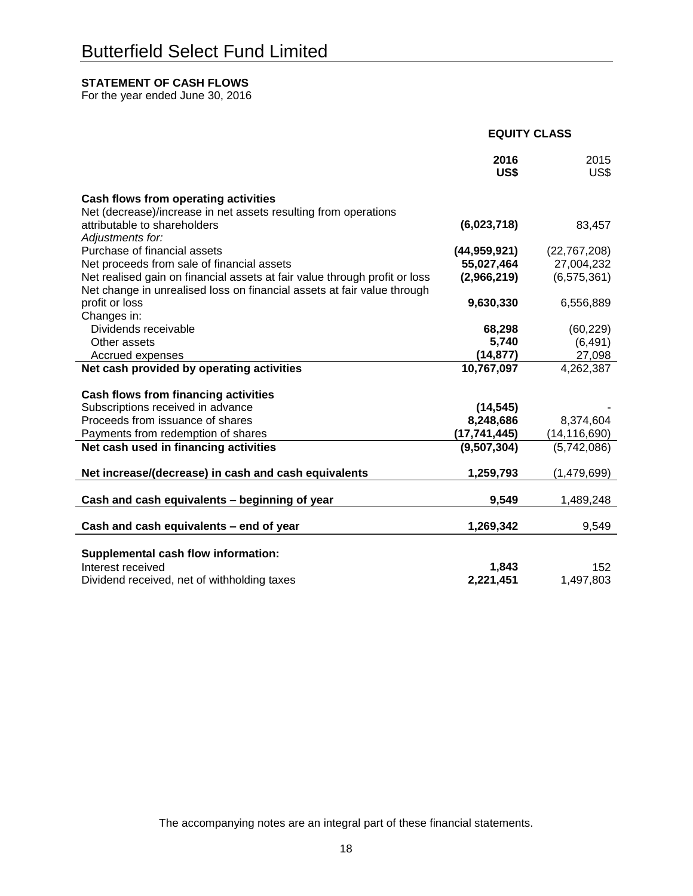# **STATEMENT OF CASH FLOWS**

For the year ended June 30, 2016

|                                                                                                                                                       | <b>EQUITY CLASS</b> |                |
|-------------------------------------------------------------------------------------------------------------------------------------------------------|---------------------|----------------|
|                                                                                                                                                       | 2016<br>US\$        | 2015<br>US\$   |
| Cash flows from operating activities                                                                                                                  |                     |                |
| Net (decrease)/increase in net assets resulting from operations                                                                                       |                     |                |
| attributable to shareholders                                                                                                                          | (6,023,718)         | 83,457         |
| Adjustments for:                                                                                                                                      |                     |                |
| Purchase of financial assets                                                                                                                          | (44, 959, 921)      | (22, 767, 208) |
| Net proceeds from sale of financial assets                                                                                                            | 55,027,464          | 27,004,232     |
| Net realised gain on financial assets at fair value through profit or loss<br>Net change in unrealised loss on financial assets at fair value through | (2,966,219)         | (6, 575, 361)  |
| profit or loss                                                                                                                                        | 9,630,330           | 6,556,889      |
| Changes in:                                                                                                                                           |                     |                |
| Dividends receivable                                                                                                                                  | 68,298              | (60, 229)      |
| Other assets                                                                                                                                          | 5,740               | (6, 491)       |
| Accrued expenses                                                                                                                                      | (14, 877)           | 27,098         |
| Net cash provided by operating activities                                                                                                             | 10,767,097          | 4,262,387      |
|                                                                                                                                                       |                     |                |
| Cash flows from financing activities                                                                                                                  |                     |                |
| Subscriptions received in advance                                                                                                                     | (14, 545)           |                |
| Proceeds from issuance of shares                                                                                                                      | 8,248,686           | 8,374,604      |
| Payments from redemption of shares                                                                                                                    | (17, 741, 445)      | (14, 116, 690) |
| Net cash used in financing activities                                                                                                                 | (9,507,304)         | (5,742,086)    |
|                                                                                                                                                       |                     |                |
| Net increase/(decrease) in cash and cash equivalents                                                                                                  | 1,259,793           | (1,479,699)    |
| Cash and cash equivalents - beginning of year                                                                                                         | 9,549               | 1,489,248      |
|                                                                                                                                                       |                     |                |
| Cash and cash equivalents - end of year                                                                                                               | 1,269,342           | 9,549          |
|                                                                                                                                                       |                     |                |
| Supplemental cash flow information:                                                                                                                   |                     |                |
| Interest received                                                                                                                                     | 1,843               | 152            |
| Dividend received, net of withholding taxes                                                                                                           | 2,221,451           | 1,497,803      |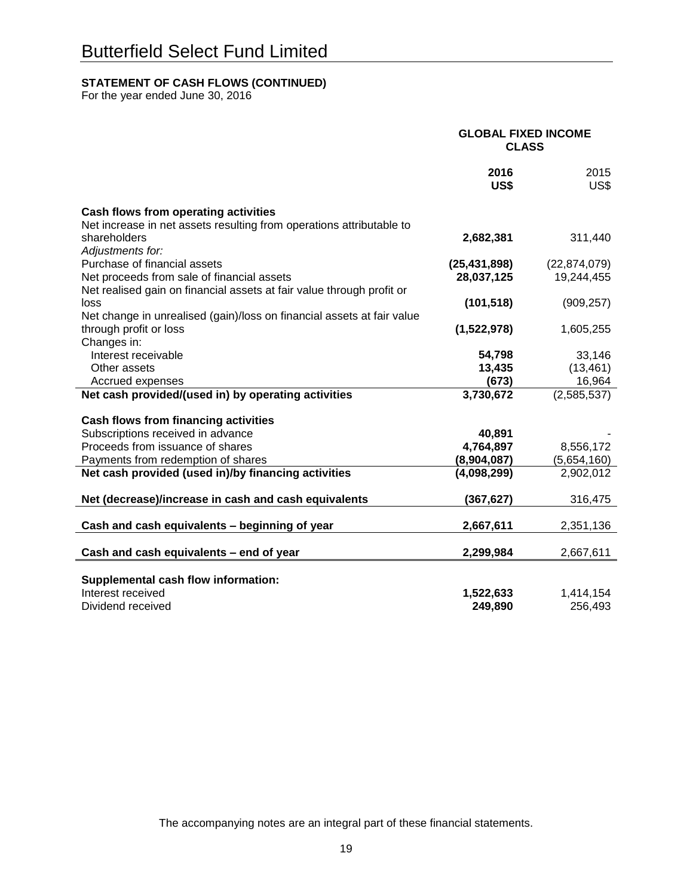# **STATEMENT OF CASH FLOWS (CONTINUED)**

For the year ended June 30, 2016

|                                                                                | <b>GLOBAL FIXED INCOME</b><br><b>CLASS</b> |                      |
|--------------------------------------------------------------------------------|--------------------------------------------|----------------------|
|                                                                                | 2016<br>US\$                               | 2015<br>US\$         |
| Cash flows from operating activities                                           |                                            |                      |
| Net increase in net assets resulting from operations attributable to           |                                            |                      |
| shareholders                                                                   | 2,682,381                                  | 311,440              |
| Adjustments for:                                                               |                                            |                      |
| Purchase of financial assets                                                   | (25, 431, 898)                             | (22, 874, 079)       |
| Net proceeds from sale of financial assets                                     | 28,037,125                                 | 19,244,455           |
| Net realised gain on financial assets at fair value through profit or          |                                            |                      |
| loss<br>Net change in unrealised (gain)/loss on financial assets at fair value | (101, 518)                                 | (909, 257)           |
| through profit or loss                                                         | (1,522,978)                                | 1,605,255            |
| Changes in:                                                                    |                                            |                      |
| Interest receivable                                                            | 54,798                                     | 33,146               |
| Other assets                                                                   | 13,435                                     | (13, 461)            |
| Accrued expenses                                                               | (673)                                      | 16,964               |
| Net cash provided/(used in) by operating activities                            | 3,730,672                                  | (2,585,537)          |
|                                                                                |                                            |                      |
| Cash flows from financing activities<br>Subscriptions received in advance      | 40,891                                     |                      |
| Proceeds from issuance of shares                                               | 4,764,897                                  | 8,556,172            |
| Payments from redemption of shares                                             | (8,904,087)                                | (5,654,160)          |
| Net cash provided (used in)/by financing activities                            | (4,098,299)                                | 2,902,012            |
|                                                                                |                                            |                      |
| Net (decrease)/increase in cash and cash equivalents                           | (367, 627)                                 | 316,475              |
| Cash and cash equivalents - beginning of year                                  | 2,667,611                                  | 2,351,136            |
|                                                                                |                                            |                      |
| Cash and cash equivalents - end of year                                        | 2,299,984                                  | 2,667,611            |
|                                                                                |                                            |                      |
| Supplemental cash flow information:                                            |                                            |                      |
| Interest received<br>Dividend received                                         | 1,522,633<br>249,890                       | 1,414,154<br>256,493 |
|                                                                                |                                            |                      |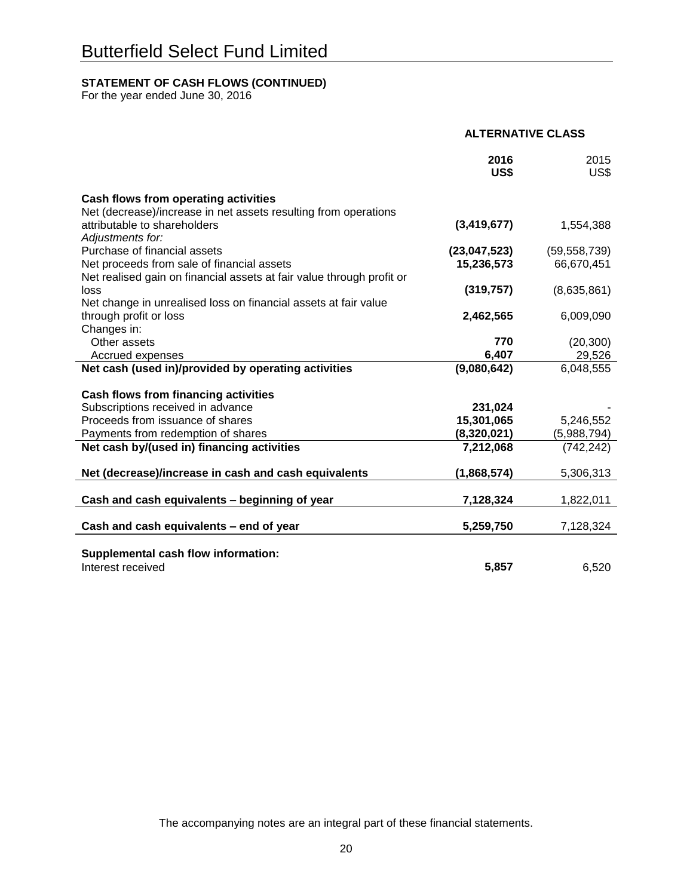# **STATEMENT OF CASH FLOWS (CONTINUED)**

For the year ended June 30, 2016

#### **ALTERNATIVE CLASS**

|                                                                       | 2016<br>US\$  | 2015<br>US\$   |
|-----------------------------------------------------------------------|---------------|----------------|
| Cash flows from operating activities                                  |               |                |
| Net (decrease)/increase in net assets resulting from operations       |               |                |
| attributable to shareholders                                          | (3, 419, 677) | 1,554,388      |
| Adjustments for:<br>Purchase of financial assets                      | (23,047,523)  | (59, 558, 739) |
| Net proceeds from sale of financial assets                            | 15,236,573    | 66,670,451     |
| Net realised gain on financial assets at fair value through profit or |               |                |
| loss                                                                  | (319, 757)    | (8,635,861)    |
| Net change in unrealised loss on financial assets at fair value       |               |                |
| through profit or loss                                                | 2,462,565     | 6,009,090      |
| Changes in:                                                           |               |                |
| Other assets                                                          | 770           | (20, 300)      |
| Accrued expenses                                                      | 6,407         | 29,526         |
| Net cash (used in)/provided by operating activities                   | (9,080,642)   | 6,048,555      |
| Cash flows from financing activities                                  |               |                |
| Subscriptions received in advance                                     | 231,024       |                |
| Proceeds from issuance of shares                                      | 15,301,065    | 5,246,552      |
| Payments from redemption of shares                                    | (8,320,021)   | (5,988,794)    |
| Net cash by/(used in) financing activities                            | 7,212,068     | (742, 242)     |
| Net (decrease)/increase in cash and cash equivalents                  | (1,868,574)   | 5,306,313      |
|                                                                       |               |                |
| Cash and cash equivalents - beginning of year                         | 7,128,324     | 1,822,011      |
| Cash and cash equivalents - end of year                               | 5,259,750     | 7,128,324      |
|                                                                       |               |                |
| Supplemental cash flow information:                                   |               |                |
| Interest received                                                     | 5,857         | 6,520          |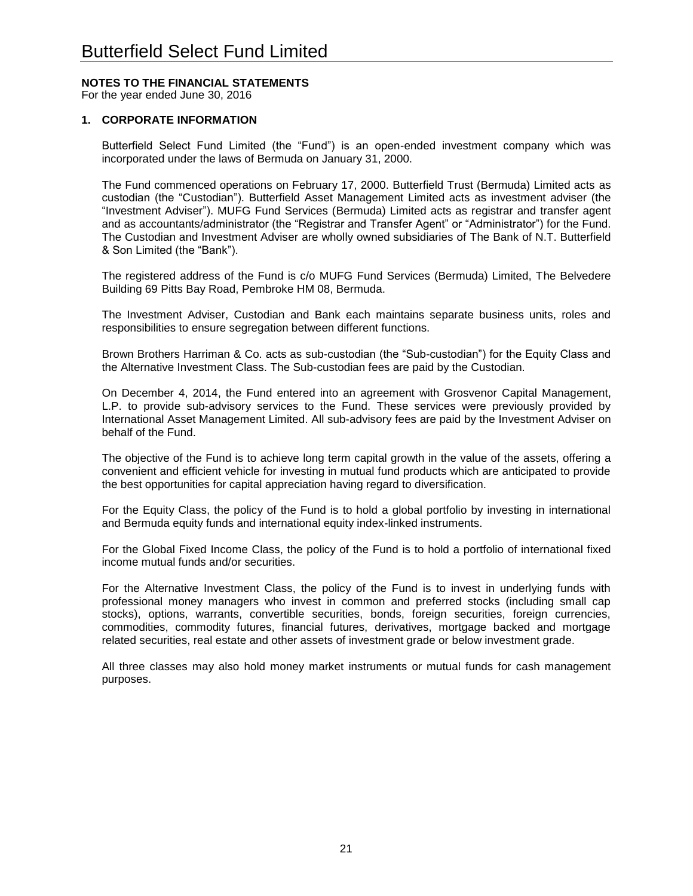# **NOTES TO THE FINANCIAL STATEMENTS**

For the year ended June 30, 2016

# **1. CORPORATE INFORMATION**

Butterfield Select Fund Limited (the "Fund") is an open-ended investment company which was incorporated under the laws of Bermuda on January 31, 2000.

The Fund commenced operations on February 17, 2000. Butterfield Trust (Bermuda) Limited acts as custodian (the "Custodian"). Butterfield Asset Management Limited acts as investment adviser (the "Investment Adviser"). MUFG Fund Services (Bermuda) Limited acts as registrar and transfer agent and as accountants/administrator (the "Registrar and Transfer Agent" or "Administrator") for the Fund. The Custodian and Investment Adviser are wholly owned subsidiaries of The Bank of N.T. Butterfield & Son Limited (the "Bank").

The registered address of the Fund is c/o MUFG Fund Services (Bermuda) Limited, The Belvedere Building 69 Pitts Bay Road, Pembroke HM 08, Bermuda.

The Investment Adviser, Custodian and Bank each maintains separate business units, roles and responsibilities to ensure segregation between different functions.

Brown Brothers Harriman & Co. acts as sub-custodian (the "Sub-custodian") for the Equity Class and the Alternative Investment Class. The Sub-custodian fees are paid by the Custodian.

On December 4, 2014, the Fund entered into an agreement with Grosvenor Capital Management, L.P. to provide sub-advisory services to the Fund. These services were previously provided by International Asset Management Limited. All sub-advisory fees are paid by the Investment Adviser on behalf of the Fund.

The objective of the Fund is to achieve long term capital growth in the value of the assets, offering a convenient and efficient vehicle for investing in mutual fund products which are anticipated to provide the best opportunities for capital appreciation having regard to diversification.

For the Equity Class, the policy of the Fund is to hold a global portfolio by investing in international and Bermuda equity funds and international equity index-linked instruments.

For the Global Fixed Income Class, the policy of the Fund is to hold a portfolio of international fixed income mutual funds and/or securities.

For the Alternative Investment Class, the policy of the Fund is to invest in underlying funds with professional money managers who invest in common and preferred stocks (including small cap stocks), options, warrants, convertible securities, bonds, foreign securities, foreign currencies, commodities, commodity futures, financial futures, derivatives, mortgage backed and mortgage related securities, real estate and other assets of investment grade or below investment grade.

All three classes may also hold money market instruments or mutual funds for cash management purposes.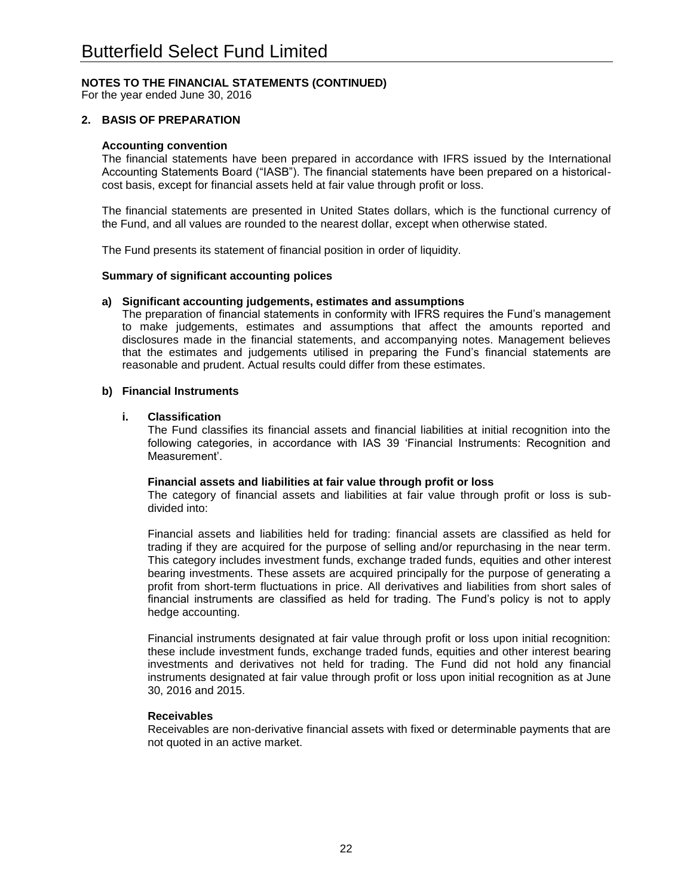For the year ended June 30, 2016

### **2. BASIS OF PREPARATION**

#### **Accounting convention**

The financial statements have been prepared in accordance with IFRS issued by the International Accounting Statements Board ("IASB"). The financial statements have been prepared on a historicalcost basis, except for financial assets held at fair value through profit or loss.

The financial statements are presented in United States dollars, which is the functional currency of the Fund, and all values are rounded to the nearest dollar, except when otherwise stated.

The Fund presents its statement of financial position in order of liquidity.

#### **Summary of significant accounting polices**

#### **a) Significant accounting judgements, estimates and assumptions**

The preparation of financial statements in conformity with IFRS requires the Fund's management to make judgements, estimates and assumptions that affect the amounts reported and disclosures made in the financial statements, and accompanying notes. Management believes that the estimates and judgements utilised in preparing the Fund's financial statements are reasonable and prudent. Actual results could differ from these estimates.

#### **b) Financial Instruments**

#### **i. Classification**

The Fund classifies its financial assets and financial liabilities at initial recognition into the following categories, in accordance with IAS 39 'Financial Instruments: Recognition and Measurement'.

#### **Financial assets and liabilities at fair value through profit or loss**

The category of financial assets and liabilities at fair value through profit or loss is subdivided into:

Financial assets and liabilities held for trading: financial assets are classified as held for trading if they are acquired for the purpose of selling and/or repurchasing in the near term. This category includes investment funds, exchange traded funds, equities and other interest bearing investments. These assets are acquired principally for the purpose of generating a profit from short-term fluctuations in price. All derivatives and liabilities from short sales of financial instruments are classified as held for trading. The Fund's policy is not to apply hedge accounting.

Financial instruments designated at fair value through profit or loss upon initial recognition: these include investment funds, exchange traded funds, equities and other interest bearing investments and derivatives not held for trading. The Fund did not hold any financial instruments designated at fair value through profit or loss upon initial recognition as at June 30, 2016 and 2015.

#### **Receivables**

Receivables are non-derivative financial assets with fixed or determinable payments that are not quoted in an active market.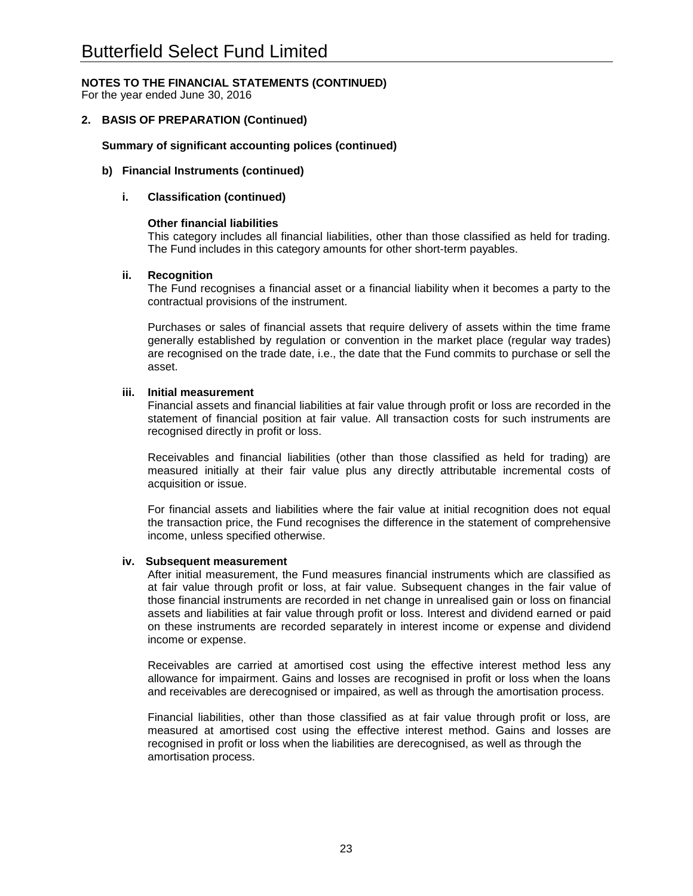For the year ended June 30, 2016

#### **2. BASIS OF PREPARATION (Continued)**

#### **Summary of significant accounting polices (continued)**

#### **b) Financial Instruments (continued)**

#### **i. Classification (continued)**

#### **Other financial liabilities**

This category includes all financial liabilities, other than those classified as held for trading. The Fund includes in this category amounts for other short-term payables.

#### **ii. Recognition**

The Fund recognises a financial asset or a financial liability when it becomes a party to the contractual provisions of the instrument.

Purchases or sales of financial assets that require delivery of assets within the time frame generally established by regulation or convention in the market place (regular way trades) are recognised on the trade date, i.e., the date that the Fund commits to purchase or sell the asset.

#### **iii. Initial measurement**

Financial assets and financial liabilities at fair value through profit or loss are recorded in the statement of financial position at fair value. All transaction costs for such instruments are recognised directly in profit or loss.

Receivables and financial liabilities (other than those classified as held for trading) are measured initially at their fair value plus any directly attributable incremental costs of acquisition or issue.

For financial assets and liabilities where the fair value at initial recognition does not equal the transaction price, the Fund recognises the difference in the statement of comprehensive income, unless specified otherwise.

#### **iv. Subsequent measurement**

After initial measurement, the Fund measures financial instruments which are classified as at fair value through profit or loss, at fair value. Subsequent changes in the fair value of those financial instruments are recorded in net change in unrealised gain or loss on financial assets and liabilities at fair value through profit or loss. Interest and dividend earned or paid on these instruments are recorded separately in interest income or expense and dividend income or expense.

Receivables are carried at amortised cost using the effective interest method less any allowance for impairment. Gains and losses are recognised in profit or loss when the loans and receivables are derecognised or impaired, as well as through the amortisation process.

Financial liabilities, other than those classified as at fair value through profit or loss, are measured at amortised cost using the effective interest method. Gains and losses are recognised in profit or loss when the liabilities are derecognised, as well as through the amortisation process.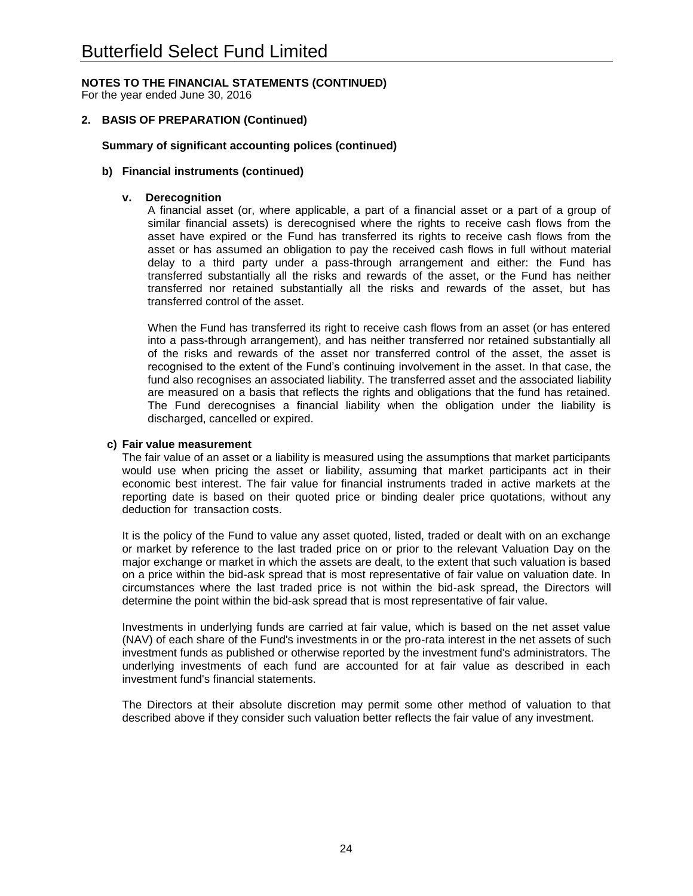For the year ended June 30, 2016

#### **2. BASIS OF PREPARATION (Continued)**

#### **Summary of significant accounting polices (continued)**

#### **b) Financial instruments (continued)**

#### **v. Derecognition**

A financial asset (or, where applicable, a part of a financial asset or a part of a group of similar financial assets) is derecognised where the rights to receive cash flows from the asset have expired or the Fund has transferred its rights to receive cash flows from the asset or has assumed an obligation to pay the received cash flows in full without material delay to a third party under a pass-through arrangement and either: the Fund has transferred substantially all the risks and rewards of the asset, or the Fund has neither transferred nor retained substantially all the risks and rewards of the asset, but has transferred control of the asset.

When the Fund has transferred its right to receive cash flows from an asset (or has entered into a pass-through arrangement), and has neither transferred nor retained substantially all of the risks and rewards of the asset nor transferred control of the asset, the asset is recognised to the extent of the Fund's continuing involvement in the asset. In that case, the fund also recognises an associated liability. The transferred asset and the associated liability are measured on a basis that reflects the rights and obligations that the fund has retained. The Fund derecognises a financial liability when the obligation under the liability is discharged, cancelled or expired.

#### **c) Fair value measurement**

The fair value of an asset or a liability is measured using the assumptions that market participants would use when pricing the asset or liability, assuming that market participants act in their economic best interest. The fair value for financial instruments traded in active markets at the reporting date is based on their quoted price or binding dealer price quotations, without any deduction for transaction costs.

It is the policy of the Fund to value any asset quoted, listed, traded or dealt with on an exchange or market by reference to the last traded price on or prior to the relevant Valuation Day on the major exchange or market in which the assets are dealt, to the extent that such valuation is based on a price within the bid-ask spread that is most representative of fair value on valuation date. In circumstances where the last traded price is not within the bid-ask spread, the Directors will determine the point within the bid-ask spread that is most representative of fair value.

Investments in underlying funds are carried at fair value, which is based on the net asset value (NAV) of each share of the Fund's investments in or the pro-rata interest in the net assets of such investment funds as published or otherwise reported by the investment fund's administrators. The underlying investments of each fund are accounted for at fair value as described in each investment fund's financial statements.

The Directors at their absolute discretion may permit some other method of valuation to that described above if they consider such valuation better reflects the fair value of any investment.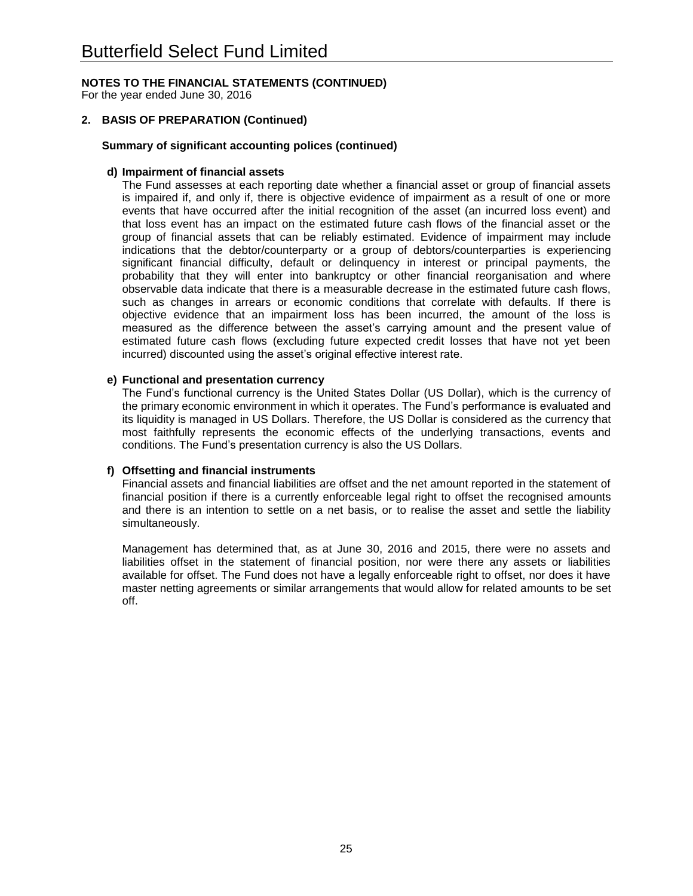For the year ended June 30, 2016

### **2. BASIS OF PREPARATION (Continued)**

#### **Summary of significant accounting polices (continued)**

#### **d) Impairment of financial assets**

The Fund assesses at each reporting date whether a financial asset or group of financial assets is impaired if, and only if, there is objective evidence of impairment as a result of one or more events that have occurred after the initial recognition of the asset (an incurred loss event) and that loss event has an impact on the estimated future cash flows of the financial asset or the group of financial assets that can be reliably estimated. Evidence of impairment may include indications that the debtor/counterparty or a group of debtors/counterparties is experiencing significant financial difficulty, default or delinquency in interest or principal payments, the probability that they will enter into bankruptcy or other financial reorganisation and where observable data indicate that there is a measurable decrease in the estimated future cash flows, such as changes in arrears or economic conditions that correlate with defaults. If there is objective evidence that an impairment loss has been incurred, the amount of the loss is measured as the difference between the asset's carrying amount and the present value of estimated future cash flows (excluding future expected credit losses that have not yet been incurred) discounted using the asset's original effective interest rate.

#### **e) Functional and presentation currency**

The Fund's functional currency is the United States Dollar (US Dollar), which is the currency of the primary economic environment in which it operates. The Fund's performance is evaluated and its liquidity is managed in US Dollars. Therefore, the US Dollar is considered as the currency that most faithfully represents the economic effects of the underlying transactions, events and conditions. The Fund's presentation currency is also the US Dollars.

#### **f) Offsetting and financial instruments**

Financial assets and financial liabilities are offset and the net amount reported in the statement of financial position if there is a currently enforceable legal right to offset the recognised amounts and there is an intention to settle on a net basis, or to realise the asset and settle the liability simultaneously.

Management has determined that, as at June 30, 2016 and 2015, there were no assets and liabilities offset in the statement of financial position, nor were there any assets or liabilities available for offset. The Fund does not have a legally enforceable right to offset, nor does it have master netting agreements or similar arrangements that would allow for related amounts to be set off.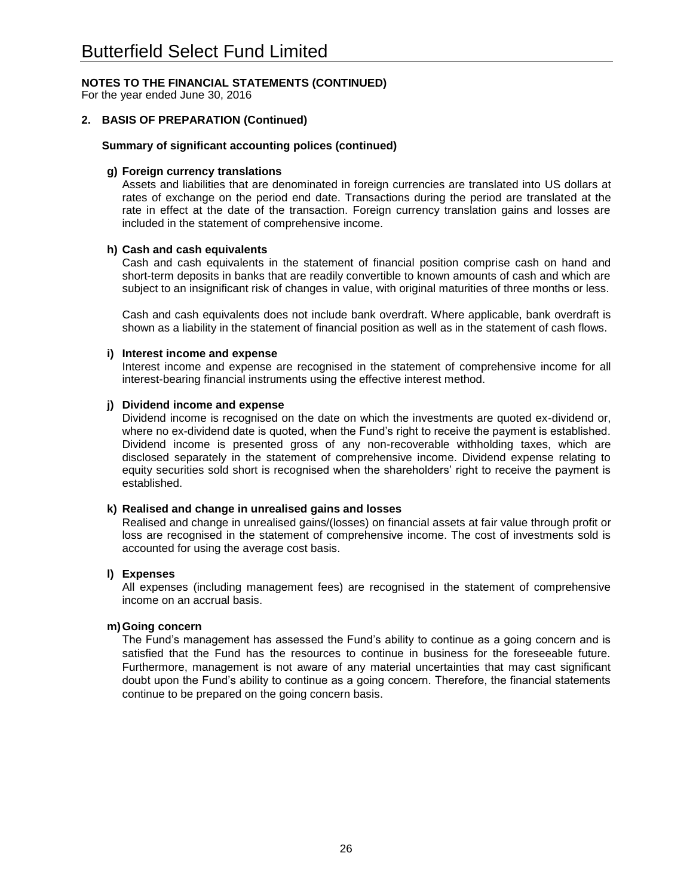For the year ended June 30, 2016

### **2. BASIS OF PREPARATION (Continued)**

#### **Summary of significant accounting polices (continued)**

#### **g) Foreign currency translations**

Assets and liabilities that are denominated in foreign currencies are translated into US dollars at rates of exchange on the period end date. Transactions during the period are translated at the rate in effect at the date of the transaction. Foreign currency translation gains and losses are included in the statement of comprehensive income.

#### **h) Cash and cash equivalents**

Cash and cash equivalents in the statement of financial position comprise cash on hand and short-term deposits in banks that are readily convertible to known amounts of cash and which are subject to an insignificant risk of changes in value, with original maturities of three months or less.

Cash and cash equivalents does not include bank overdraft. Where applicable, bank overdraft is shown as a liability in the statement of financial position as well as in the statement of cash flows.

#### **i) Interest income and expense**

Interest income and expense are recognised in the statement of comprehensive income for all interest-bearing financial instruments using the effective interest method.

#### **j) Dividend income and expense**

Dividend income is recognised on the date on which the investments are quoted ex-dividend or, where no ex-dividend date is quoted, when the Fund's right to receive the payment is established. Dividend income is presented gross of any non-recoverable withholding taxes, which are disclosed separately in the statement of comprehensive income. Dividend expense relating to equity securities sold short is recognised when the shareholders' right to receive the payment is established.

#### **k) Realised and change in unrealised gains and losses**

Realised and change in unrealised gains/(losses) on financial assets at fair value through profit or loss are recognised in the statement of comprehensive income. The cost of investments sold is accounted for using the average cost basis.

#### **l) Expenses**

All expenses (including management fees) are recognised in the statement of comprehensive income on an accrual basis.

#### **m)Going concern**

The Fund's management has assessed the Fund's ability to continue as a going concern and is satisfied that the Fund has the resources to continue in business for the foreseeable future. Furthermore, management is not aware of any material uncertainties that may cast significant doubt upon the Fund's ability to continue as a going concern. Therefore, the financial statements continue to be prepared on the going concern basis.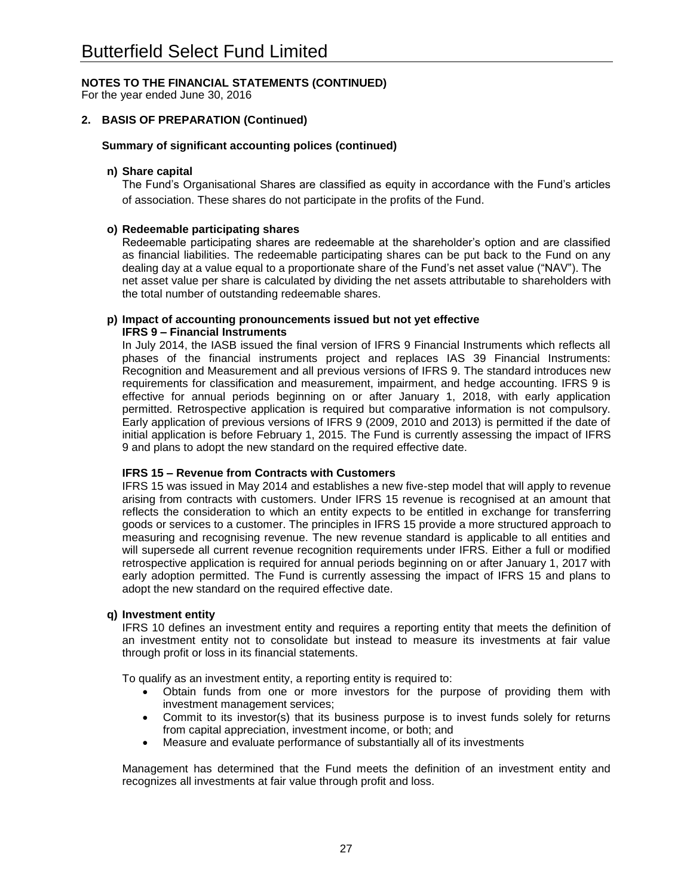For the year ended June 30, 2016

### **2. BASIS OF PREPARATION (Continued)**

#### **Summary of significant accounting polices (continued)**

#### **n) Share capital**

The Fund's Organisational Shares are classified as equity in accordance with the Fund's articles of association. These shares do not participate in the profits of the Fund.

#### **o) Redeemable participating shares**

Redeemable participating shares are redeemable at the shareholder's option and are classified as financial liabilities. The redeemable participating shares can be put back to the Fund on any dealing day at a value equal to a proportionate share of the Fund's net asset value ("NAV"). The net asset value per share is calculated by dividing the net assets attributable to shareholders with the total number of outstanding redeemable shares.

#### **p) Impact of accounting pronouncements issued but not yet effective IFRS 9 – Financial Instruments**

In July 2014, the IASB issued the final version of IFRS 9 Financial Instruments which reflects all phases of the financial instruments project and replaces IAS 39 Financial Instruments: Recognition and Measurement and all previous versions of IFRS 9. The standard introduces new requirements for classification and measurement, impairment, and hedge accounting. IFRS 9 is effective for annual periods beginning on or after January 1, 2018, with early application permitted. Retrospective application is required but comparative information is not compulsory. Early application of previous versions of IFRS 9 (2009, 2010 and 2013) is permitted if the date of initial application is before February 1, 2015. The Fund is currently assessing the impact of IFRS 9 and plans to adopt the new standard on the required effective date.

# **IFRS 15 – Revenue from Contracts with Customers**

IFRS 15 was issued in May 2014 and establishes a new five-step model that will apply to revenue arising from contracts with customers. Under IFRS 15 revenue is recognised at an amount that reflects the consideration to which an entity expects to be entitled in exchange for transferring goods or services to a customer. The principles in IFRS 15 provide a more structured approach to measuring and recognising revenue. The new revenue standard is applicable to all entities and will supersede all current revenue recognition requirements under IFRS. Either a full or modified retrospective application is required for annual periods beginning on or after January 1, 2017 with early adoption permitted. The Fund is currently assessing the impact of IFRS 15 and plans to adopt the new standard on the required effective date.

#### **q) Investment entity**

IFRS 10 defines an investment entity and requires a reporting entity that meets the definition of an investment entity not to consolidate but instead to measure its investments at fair value through profit or loss in its financial statements.

To qualify as an investment entity, a reporting entity is required to:

- Obtain funds from one or more investors for the purpose of providing them with investment management services;
- Commit to its investor(s) that its business purpose is to invest funds solely for returns from capital appreciation, investment income, or both; and
- Measure and evaluate performance of substantially all of its investments

Management has determined that the Fund meets the definition of an investment entity and recognizes all investments at fair value through profit and loss.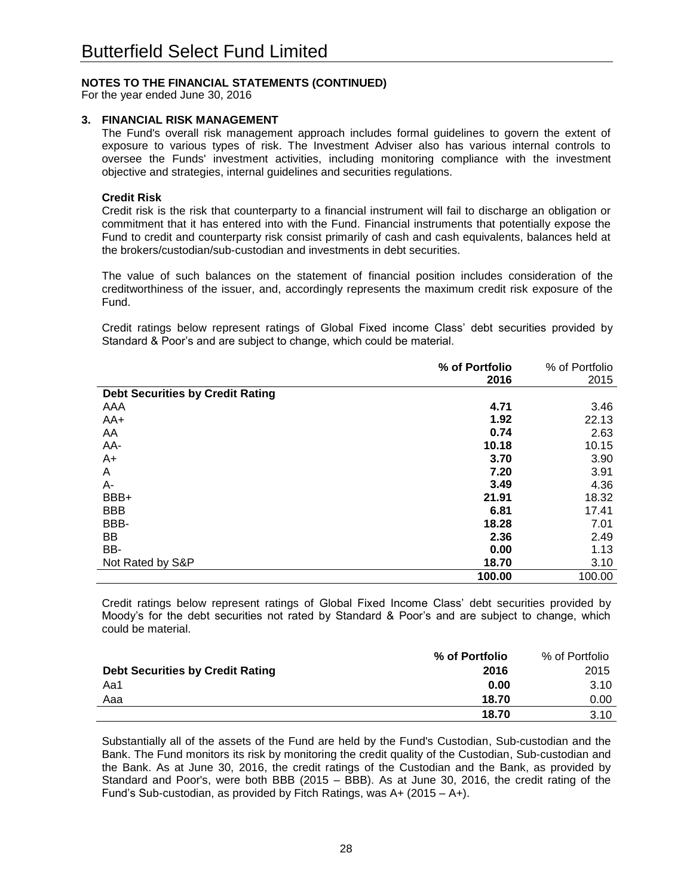For the year ended June 30, 2016

### **3. FINANCIAL RISK MANAGEMENT**

The Fund's overall risk management approach includes formal guidelines to govern the extent of exposure to various types of risk. The Investment Adviser also has various internal controls to oversee the Funds' investment activities, including monitoring compliance with the investment objective and strategies, internal guidelines and securities regulations.

#### **Credit Risk**

Credit risk is the risk that counterparty to a financial instrument will fail to discharge an obligation or commitment that it has entered into with the Fund. Financial instruments that potentially expose the Fund to credit and counterparty risk consist primarily of cash and cash equivalents, balances held at the brokers/custodian/sub-custodian and investments in debt securities.

The value of such balances on the statement of financial position includes consideration of the creditworthiness of the issuer, and, accordingly represents the maximum credit risk exposure of the Fund.

Credit ratings below represent ratings of Global Fixed income Class' debt securities provided by Standard & Poor's and are subject to change, which could be material.

|                                         | % of Portfolio | % of Portfolio |
|-----------------------------------------|----------------|----------------|
|                                         | 2016           | 2015           |
| <b>Debt Securities by Credit Rating</b> |                |                |
| AAA                                     | 4.71           | 3.46           |
| AA+                                     | 1.92           | 22.13          |
| AA                                      | 0.74           | 2.63           |
| AA-                                     | 10.18          | 10.15          |
| A+                                      | 3.70           | 3.90           |
| A                                       | 7.20           | 3.91           |
| A-                                      | 3.49           | 4.36           |
| BBB+                                    | 21.91          | 18.32          |
| <b>BBB</b>                              | 6.81           | 17.41          |
| BBB-                                    | 18.28          | 7.01           |
| BB                                      | 2.36           | 2.49           |
| BB-                                     | 0.00           | 1.13           |
| Not Rated by S&P                        | 18.70          | 3.10           |
|                                         | 100.00         | 100.00         |

Credit ratings below represent ratings of Global Fixed Income Class' debt securities provided by Moody's for the debt securities not rated by Standard & Poor's and are subject to change, which could be material.

|                                         | % of Portfolio | % of Portfolio |
|-----------------------------------------|----------------|----------------|
| <b>Debt Securities by Credit Rating</b> | 2016           | 2015           |
| Aa1                                     | 0.00           | 3.10           |
| Aaa                                     | 18.70          | 0.00           |
|                                         | 18.70          | 3.10           |

Substantially all of the assets of the Fund are held by the Fund's Custodian, Sub-custodian and the Bank. The Fund monitors its risk by monitoring the credit quality of the Custodian, Sub-custodian and the Bank. As at June 30, 2016, the credit ratings of the Custodian and the Bank, as provided by Standard and Poor's, were both BBB (2015 – BBB). As at June 30, 2016, the credit rating of the Fund's Sub-custodian, as provided by Fitch Ratings, was A+ (2015 – A+).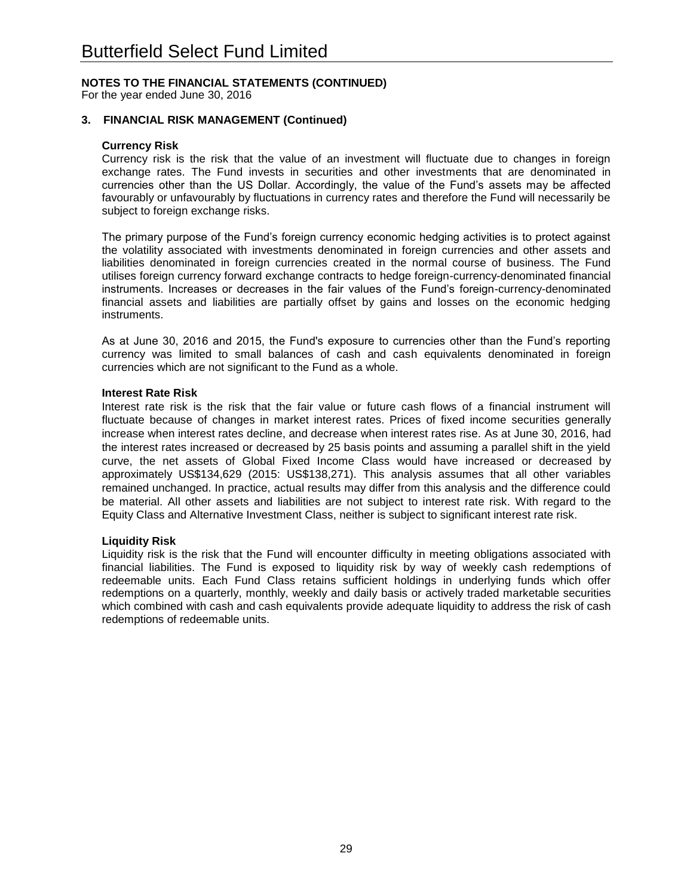For the year ended June 30, 2016

#### **3. FINANCIAL RISK MANAGEMENT (Continued)**

#### **Currency Risk**

Currency risk is the risk that the value of an investment will fluctuate due to changes in foreign exchange rates. The Fund invests in securities and other investments that are denominated in currencies other than the US Dollar. Accordingly, the value of the Fund's assets may be affected favourably or unfavourably by fluctuations in currency rates and therefore the Fund will necessarily be subject to foreign exchange risks.

The primary purpose of the Fund's foreign currency economic hedging activities is to protect against the volatility associated with investments denominated in foreign currencies and other assets and liabilities denominated in foreign currencies created in the normal course of business. The Fund utilises foreign currency forward exchange contracts to hedge foreign-currency-denominated financial instruments. Increases or decreases in the fair values of the Fund's foreign-currency-denominated financial assets and liabilities are partially offset by gains and losses on the economic hedging instruments.

As at June 30, 2016 and 2015, the Fund's exposure to currencies other than the Fund's reporting currency was limited to small balances of cash and cash equivalents denominated in foreign currencies which are not significant to the Fund as a whole.

#### **Interest Rate Risk**

Interest rate risk is the risk that the fair value or future cash flows of a financial instrument will fluctuate because of changes in market interest rates. Prices of fixed income securities generally increase when interest rates decline, and decrease when interest rates rise. As at June 30, 2016, had the interest rates increased or decreased by 25 basis points and assuming a parallel shift in the yield curve, the net assets of Global Fixed Income Class would have increased or decreased by approximately US\$134,629 (2015: US\$138,271). This analysis assumes that all other variables remained unchanged. In practice, actual results may differ from this analysis and the difference could be material. All other assets and liabilities are not subject to interest rate risk. With regard to the Equity Class and Alternative Investment Class, neither is subject to significant interest rate risk.

#### **Liquidity Risk**

Liquidity risk is the risk that the Fund will encounter difficulty in meeting obligations associated with financial liabilities. The Fund is exposed to liquidity risk by way of weekly cash redemptions of redeemable units. Each Fund Class retains sufficient holdings in underlying funds which offer redemptions on a quarterly, monthly, weekly and daily basis or actively traded marketable securities which combined with cash and cash equivalents provide adequate liquidity to address the risk of cash redemptions of redeemable units.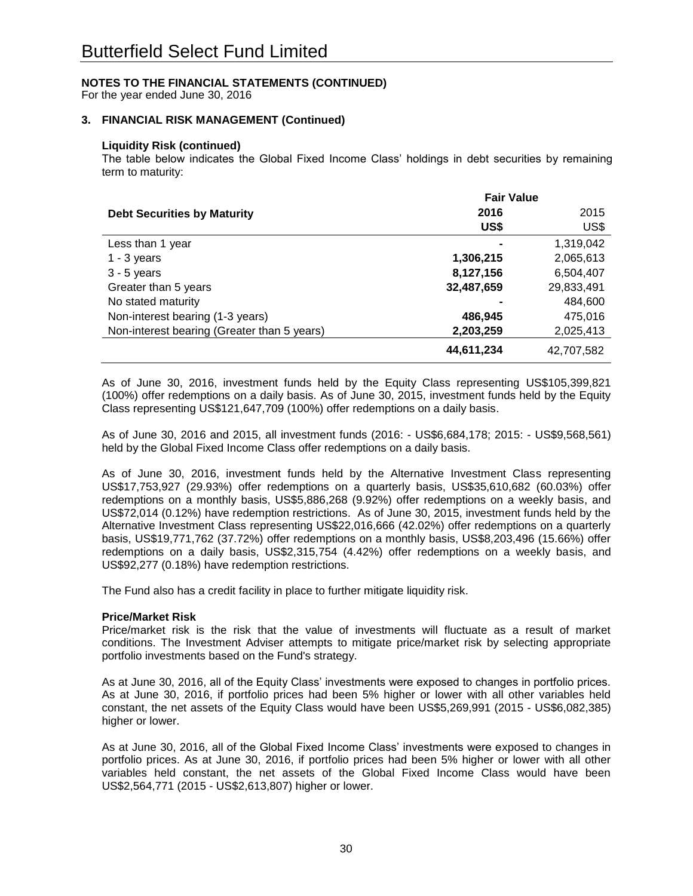For the year ended June 30, 2016

# **3. FINANCIAL RISK MANAGEMENT (Continued)**

#### **Liquidity Risk (continued)**

The table below indicates the Global Fixed Income Class' holdings in debt securities by remaining term to maturity:

|                                             | <b>Fair Value</b> |            |  |  |
|---------------------------------------------|-------------------|------------|--|--|
| <b>Debt Securities by Maturity</b>          | 2016              | 2015       |  |  |
|                                             | US\$              | US\$       |  |  |
| Less than 1 year                            | ٠                 | 1,319,042  |  |  |
| $1 - 3$ years                               | 1,306,215         | 2,065,613  |  |  |
| $3 - 5$ years                               | 8,127,156         | 6,504,407  |  |  |
| Greater than 5 years                        | 32,487,659        | 29,833,491 |  |  |
| No stated maturity                          |                   | 484,600    |  |  |
| Non-interest bearing (1-3 years)            | 486,945           | 475,016    |  |  |
| Non-interest bearing (Greater than 5 years) | 2,203,259         | 2,025,413  |  |  |
|                                             | 44,611,234        | 42,707,582 |  |  |

As of June 30, 2016, investment funds held by the Equity Class representing US\$105,399,821 (100%) offer redemptions on a daily basis. As of June 30, 2015, investment funds held by the Equity Class representing US\$121,647,709 (100%) offer redemptions on a daily basis.

As of June 30, 2016 and 2015, all investment funds (2016: - US\$6,684,178; 2015: - US\$9,568,561) held by the Global Fixed Income Class offer redemptions on a daily basis.

As of June 30, 2016, investment funds held by the Alternative Investment Class representing US\$17,753,927 (29.93%) offer redemptions on a quarterly basis, US\$35,610,682 (60.03%) offer redemptions on a monthly basis, US\$5,886,268 (9.92%) offer redemptions on a weekly basis, and US\$72,014 (0.12%) have redemption restrictions. As of June 30, 2015, investment funds held by the Alternative Investment Class representing US\$22,016,666 (42.02%) offer redemptions on a quarterly basis, US\$19,771,762 (37.72%) offer redemptions on a monthly basis, US\$8,203,496 (15.66%) offer redemptions on a daily basis, US\$2,315,754 (4.42%) offer redemptions on a weekly basis, and US\$92,277 (0.18%) have redemption restrictions.

The Fund also has a credit facility in place to further mitigate liquidity risk.

#### **Price/Market Risk**

Price/market risk is the risk that the value of investments will fluctuate as a result of market conditions. The Investment Adviser attempts to mitigate price/market risk by selecting appropriate portfolio investments based on the Fund's strategy.

As at June 30, 2016, all of the Equity Class' investments were exposed to changes in portfolio prices. As at June 30, 2016, if portfolio prices had been 5% higher or lower with all other variables held constant, the net assets of the Equity Class would have been US\$5,269,991 (2015 - US\$6,082,385) higher or lower.

As at June 30, 2016, all of the Global Fixed Income Class' investments were exposed to changes in portfolio prices. As at June 30, 2016, if portfolio prices had been 5% higher or lower with all other variables held constant, the net assets of the Global Fixed Income Class would have been US\$2,564,771 (2015 - US\$2,613,807) higher or lower.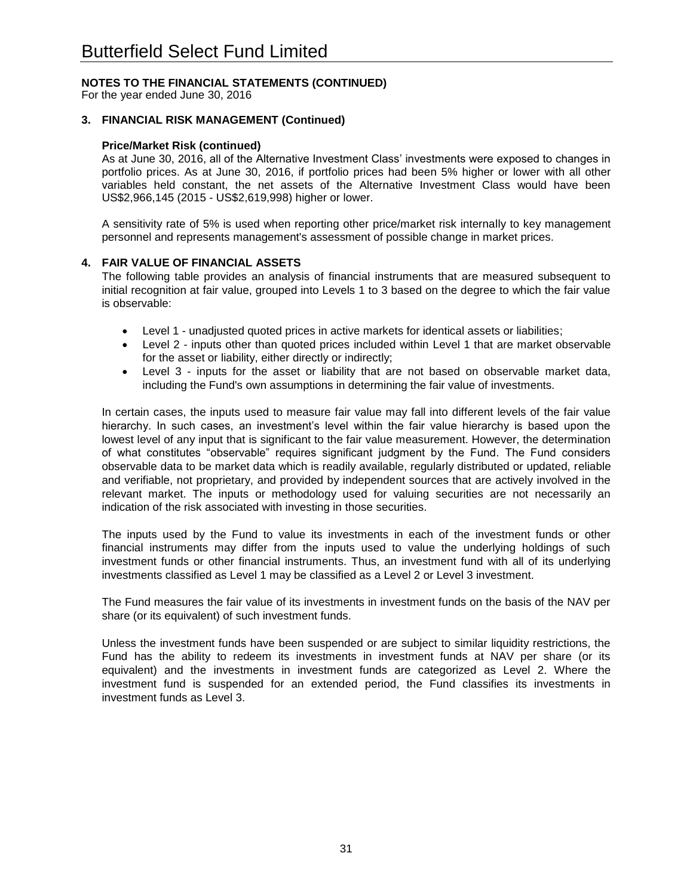For the year ended June 30, 2016

### **3. FINANCIAL RISK MANAGEMENT (Continued)**

#### **Price/Market Risk (continued)**

As at June 30, 2016, all of the Alternative Investment Class' investments were exposed to changes in portfolio prices. As at June 30, 2016, if portfolio prices had been 5% higher or lower with all other variables held constant, the net assets of the Alternative Investment Class would have been US\$2,966,145 (2015 - US\$2,619,998) higher or lower.

A sensitivity rate of 5% is used when reporting other price/market risk internally to key management personnel and represents management's assessment of possible change in market prices.

#### **4. FAIR VALUE OF FINANCIAL ASSETS**

The following table provides an analysis of financial instruments that are measured subsequent to initial recognition at fair value, grouped into Levels 1 to 3 based on the degree to which the fair value is observable:

- Level 1 unadjusted quoted prices in active markets for identical assets or liabilities;
- Level 2 inputs other than quoted prices included within Level 1 that are market observable for the asset or liability, either directly or indirectly;
- Level 3 inputs for the asset or liability that are not based on observable market data, including the Fund's own assumptions in determining the fair value of investments.

In certain cases, the inputs used to measure fair value may fall into different levels of the fair value hierarchy. In such cases, an investment's level within the fair value hierarchy is based upon the lowest level of any input that is significant to the fair value measurement. However, the determination of what constitutes "observable" requires significant judgment by the Fund. The Fund considers observable data to be market data which is readily available, regularly distributed or updated, reliable and verifiable, not proprietary, and provided by independent sources that are actively involved in the relevant market. The inputs or methodology used for valuing securities are not necessarily an indication of the risk associated with investing in those securities.

The inputs used by the Fund to value its investments in each of the investment funds or other financial instruments may differ from the inputs used to value the underlying holdings of such investment funds or other financial instruments. Thus, an investment fund with all of its underlying investments classified as Level 1 may be classified as a Level 2 or Level 3 investment.

The Fund measures the fair value of its investments in investment funds on the basis of the NAV per share (or its equivalent) of such investment funds.

Unless the investment funds have been suspended or are subject to similar liquidity restrictions, the Fund has the ability to redeem its investments in investment funds at NAV per share (or its equivalent) and the investments in investment funds are categorized as Level 2. Where the investment fund is suspended for an extended period, the Fund classifies its investments in investment funds as Level 3.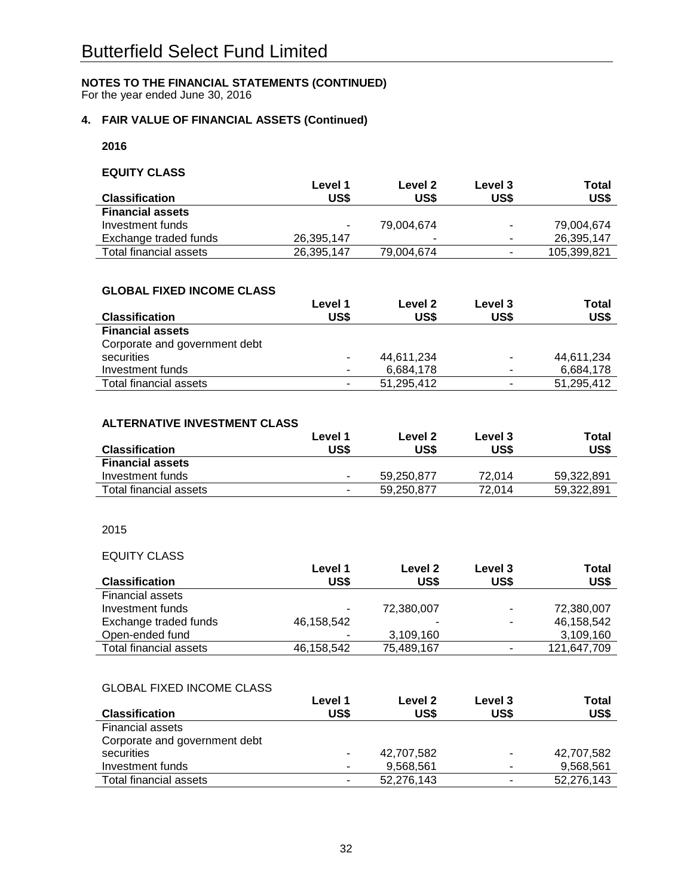For the year ended June 30, 2016

# **4. FAIR VALUE OF FINANCIAL ASSETS (Continued)**

#### **2016**

# **EQUITY CLASS**

|                         | Level 1    | Level 2    | Level 3                  | Total       |
|-------------------------|------------|------------|--------------------------|-------------|
| <b>Classification</b>   | US\$       | US\$       | US\$                     | US\$        |
| <b>Financial assets</b> |            |            |                          |             |
| Investment funds        | ۰          | 79.004.674 | $\blacksquare$           | 79.004.674  |
| Exchange traded funds   | 26.395.147 | ٠          | $\blacksquare$           | 26.395.147  |
| Total financial assets  | 26,395,147 | 79,004,674 | $\overline{\phantom{a}}$ | 105,399,821 |

#### **GLOBAL FIXED INCOME CLASS**

|                               | Level 1        | Level 2    | Level 3        | Total      |
|-------------------------------|----------------|------------|----------------|------------|
| <b>Classification</b>         | US\$           | US\$       | US\$           | US\$       |
| <b>Financial assets</b>       |                |            |                |            |
| Corporate and government debt |                |            |                |            |
| securities                    | $\blacksquare$ | 44,611,234 | $\blacksquare$ | 44.611.234 |
| Investment funds              | $\blacksquare$ | 6,684,178  | ۰              | 6,684,178  |
| <b>Total financial assets</b> | $\blacksquare$ | 51,295,412 | -              | 51,295,412 |

### **ALTERNATIVE INVESTMENT CLASS**

|                         | Level 1        | Level 2    | <b>Level 3</b> | Total      |
|-------------------------|----------------|------------|----------------|------------|
| <b>Classification</b>   | US\$           | US\$       | US\$           | US\$       |
| <b>Financial assets</b> |                |            |                |            |
| Investment funds        | $\blacksquare$ | 59.250.877 | 72.014         | 59.322.891 |
| Total financial assets  | ۰              | 59.250.877 | 72.014         | 59,322,891 |

#### 2015

#### EQUITY CLASS

|                         | Level 1    | Level 2    | Level 3        | Total       |
|-------------------------|------------|------------|----------------|-------------|
| <b>Classification</b>   | US\$       | US\$       | US\$           | US\$        |
| <b>Financial assets</b> |            |            |                |             |
| Investment funds        |            | 72,380,007 | $\blacksquare$ | 72,380,007  |
| Exchange traded funds   | 46,158,542 |            | ۰              | 46,158,542  |
| Open-ended fund         |            | 3.109.160  |                | 3,109,160   |
| Total financial assets  | 46,158,542 | 75,489,167 | $\blacksquare$ | 121,647,709 |

#### GLOBAL FIXED INCOME CLASS

|                               | Level 1 | Level 2    | Level 3                  | Total      |
|-------------------------------|---------|------------|--------------------------|------------|
| <b>Classification</b>         | US\$    | US\$       | US\$                     | US\$       |
| <b>Financial assets</b>       |         |            |                          |            |
| Corporate and government debt |         |            |                          |            |
| securities                    | ۰       | 42,707,582 | $\blacksquare$           | 42,707,582 |
| Investment funds              | ۰       | 9,568,561  | $\blacksquare$           | 9,568,561  |
| Total financial assets        | ٠       | 52,276,143 | $\overline{\phantom{a}}$ | 52,276,143 |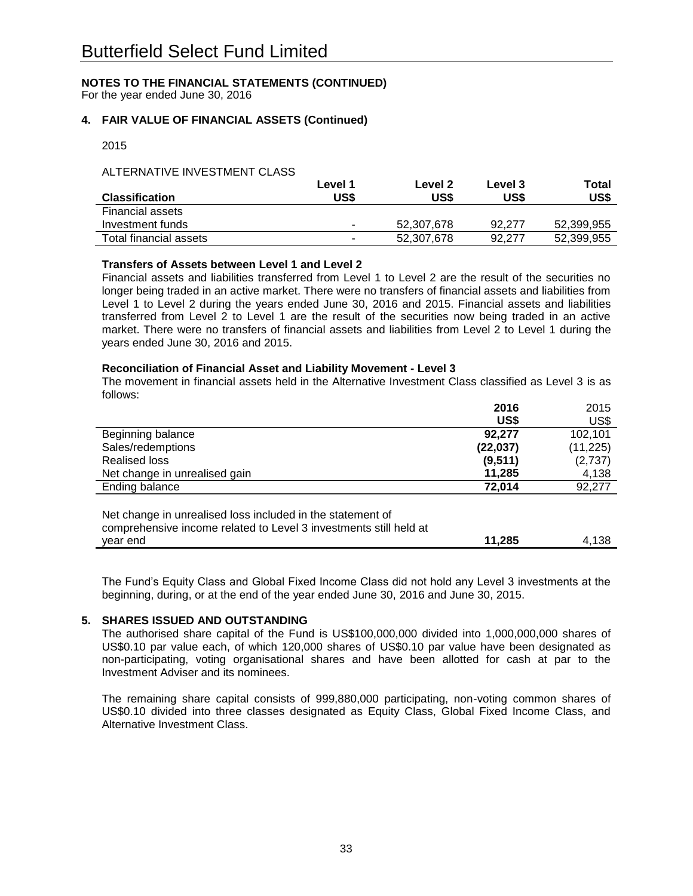For the year ended June 30, 2016

### **4. FAIR VALUE OF FINANCIAL ASSETS (Continued)**

2015

# ALTERNATIVE INVESTMENT CLASS

|                        | Level 1        | Level 2    | Level 3 | Total      |
|------------------------|----------------|------------|---------|------------|
| <b>Classification</b>  | US\$           | US\$       | US\$    | US\$       |
| Financial assets       |                |            |         |            |
| Investment funds       | $\blacksquare$ | 52.307.678 | 92.277  | 52,399,955 |
| Total financial assets | -              | 52,307,678 | 92.277  | 52,399,955 |

#### **Transfers of Assets between Level 1 and Level 2**

Financial assets and liabilities transferred from Level 1 to Level 2 are the result of the securities no longer being traded in an active market. There were no transfers of financial assets and liabilities from Level 1 to Level 2 during the years ended June 30, 2016 and 2015. Financial assets and liabilities transferred from Level 2 to Level 1 are the result of the securities now being traded in an active market. There were no transfers of financial assets and liabilities from Level 2 to Level 1 during the years ended June 30, 2016 and 2015.

#### **Reconciliation of Financial Asset and Liability Movement - Level 3**

The movement in financial assets held in the Alternative Investment Class classified as Level 3 is as follows:

|                               | 2016      | 2015      |
|-------------------------------|-----------|-----------|
|                               | US\$      | US\$      |
| Beginning balance             | 92.277    | 102.101   |
| Sales/redemptions             | (22, 037) | (11, 225) |
| Realised loss                 | (9,511)   | (2,737)   |
| Net change in unrealised gain | 11,285    | 4,138     |
| Ending balance                | 72,014    | 92,277    |
|                               |           |           |

Net change in unrealised loss included in the statement of comprehensive income related to Level 3 investments still held at year end **11,285** 4,138

The Fund's Equity Class and Global Fixed Income Class did not hold any Level 3 investments at the beginning, during, or at the end of the year ended June 30, 2016 and June 30, 2015.

#### **5. SHARES ISSUED AND OUTSTANDING**

The authorised share capital of the Fund is US\$100,000,000 divided into 1,000,000,000 shares of US\$0.10 par value each, of which 120,000 shares of US\$0.10 par value have been designated as non-participating, voting organisational shares and have been allotted for cash at par to the Investment Adviser and its nominees.

The remaining share capital consists of 999,880,000 participating, non-voting common shares of US\$0.10 divided into three classes designated as Equity Class, Global Fixed Income Class, and Alternative Investment Class.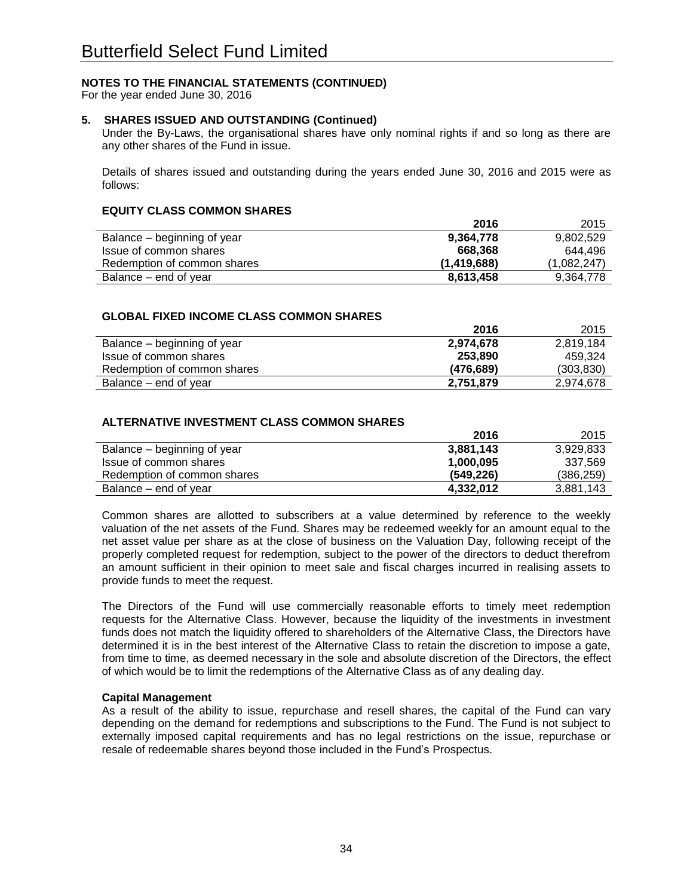For the year ended June 30, 2016

#### **5. SHARES ISSUED AND OUTSTANDING (Continued)**

Under the By-Laws, the organisational shares have only nominal rights if and so long as there are any other shares of the Fund in issue.

Details of shares issued and outstanding during the years ended June 30, 2016 and 2015 were as follows:

#### **EQUITY CLASS COMMON SHARES**

|                             | 2016          | 2015        |
|-----------------------------|---------------|-------------|
| Balance – beginning of year | 9,364,778     | 9,802,529   |
| Issue of common shares      | 668.368       | 644.496     |
| Redemption of common shares | (1, 419, 688) | (1,082,247) |
| Balance – end of year       | 8,613,458     | 9,364,778   |

#### **GLOBAL FIXED INCOME CLASS COMMON SHARES**

|                             | 2016      | 2015       |
|-----------------------------|-----------|------------|
| Balance – beginning of year | 2,974,678 | 2,819,184  |
| Issue of common shares      | 253,890   | 459.324    |
| Redemption of common shares | (476.689) | (303, 830) |
| Balance – end of year       | 2,751,879 | 2,974,678  |

#### **ALTERNATIVE INVESTMENT CLASS COMMON SHARES**

|                             | 2016      | 2015       |
|-----------------------------|-----------|------------|
| Balance – beginning of year | 3,881,143 | 3,929,833  |
| Issue of common shares      | 1,000,095 | 337.569    |
| Redemption of common shares | (549.226) | (386, 259) |
| Balance – end of year       | 4.332.012 | 3,881,143  |

Common shares are allotted to subscribers at a value determined by reference to the weekly valuation of the net assets of the Fund. Shares may be redeemed weekly for an amount equal to the net asset value per share as at the close of business on the Valuation Day, following receipt of the properly completed request for redemption, subject to the power of the directors to deduct therefrom an amount sufficient in their opinion to meet sale and fiscal charges incurred in realising assets to provide funds to meet the request.

The Directors of the Fund will use commercially reasonable efforts to timely meet redemption requests for the Alternative Class. However, because the liquidity of the investments in investment funds does not match the liquidity offered to shareholders of the Alternative Class, the Directors have determined it is in the best interest of the Alternative Class to retain the discretion to impose a gate, from time to time, as deemed necessary in the sole and absolute discretion of the Directors, the effect of which would be to limit the redemptions of the Alternative Class as of any dealing day.

#### **Capital Management**

As a result of the ability to issue, repurchase and resell shares, the capital of the Fund can vary depending on the demand for redemptions and subscriptions to the Fund. The Fund is not subject to externally imposed capital requirements and has no legal restrictions on the issue, repurchase or resale of redeemable shares beyond those included in the Fund's Prospectus.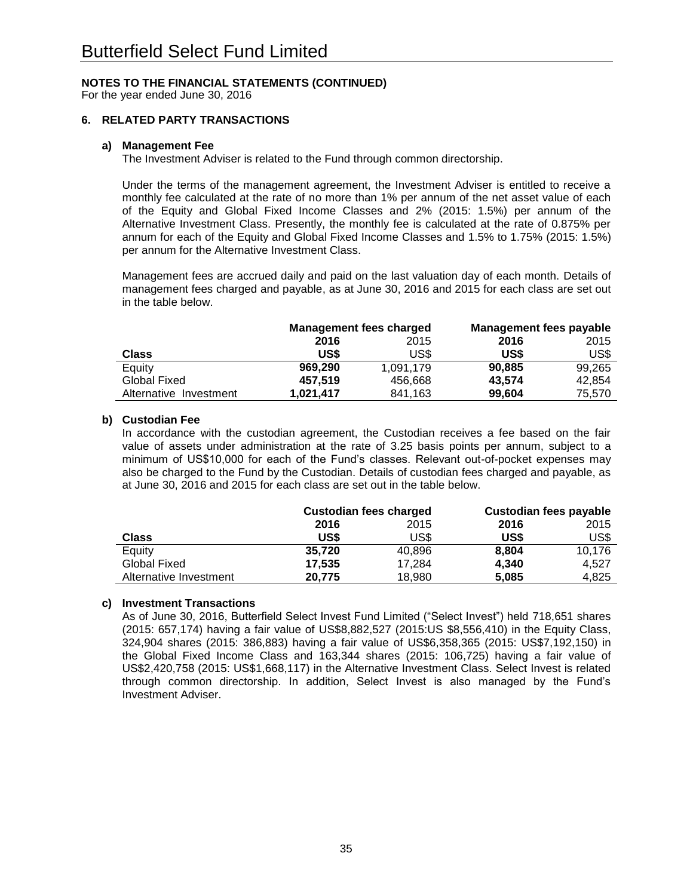For the year ended June 30, 2016

### **6. RELATED PARTY TRANSACTIONS**

#### **a) Management Fee**

The Investment Adviser is related to the Fund through common directorship.

Under the terms of the management agreement, the Investment Adviser is entitled to receive a monthly fee calculated at the rate of no more than 1% per annum of the net asset value of each of the Equity and Global Fixed Income Classes and 2% (2015: 1.5%) per annum of the Alternative Investment Class. Presently, the monthly fee is calculated at the rate of 0.875% per annum for each of the Equity and Global Fixed Income Classes and 1.5% to 1.75% (2015: 1.5%) per annum for the Alternative Investment Class.

Management fees are accrued daily and paid on the last valuation day of each month. Details of management fees charged and payable, as at June 30, 2016 and 2015 for each class are set out in the table below.

|                        | <b>Management fees charged</b> |           | Management fees payable |        |
|------------------------|--------------------------------|-----------|-------------------------|--------|
|                        | 2016                           | 2015      | 2016                    | 2015   |
| <b>Class</b>           | US\$                           | US\$      | US\$                    | US\$   |
| Eauity                 | 969.290                        | 1.091.179 | 90,885                  | 99.265 |
| Global Fixed           | 457.519                        | 456.668   | 43.574                  | 42,854 |
| Alternative Investment | 1.021.417                      | 841.163   | 99,604                  | 75.570 |

#### **b) Custodian Fee**

In accordance with the custodian agreement, the Custodian receives a fee based on the fair value of assets under administration at the rate of 3.25 basis points per annum, subject to a minimum of US\$10,000 for each of the Fund's classes. Relevant out-of-pocket expenses may also be charged to the Fund by the Custodian. Details of custodian fees charged and payable, as at June 30, 2016 and 2015 for each class are set out in the table below.

|                        | Custodian fees charged |        | <b>Custodian fees payable</b> |        |  |
|------------------------|------------------------|--------|-------------------------------|--------|--|
|                        | 2016                   | 2015   | 2016                          | 2015   |  |
| <b>Class</b>           | US\$                   | US\$   | US\$                          | US\$   |  |
| Equity                 | 35.720                 | 40.896 | 8,804                         | 10.176 |  |
| Global Fixed           | 17,535                 | 17.284 | 4,340                         | 4.527  |  |
| Alternative Investment | 20,775                 | 18,980 | 5,085                         | 4,825  |  |

# **c) Investment Transactions**

As of June 30, 2016, Butterfield Select Invest Fund Limited ("Select Invest") held 718,651 shares (2015: 657,174) having a fair value of US\$8,882,527 (2015:US \$8,556,410) in the Equity Class, 324,904 shares (2015: 386,883) having a fair value of US\$6,358,365 (2015: US\$7,192,150) in the Global Fixed Income Class and 163,344 shares (2015: 106,725) having a fair value of US\$2,420,758 (2015: US\$1,668,117) in the Alternative Investment Class. Select Invest is related through common directorship. In addition, Select Invest is also managed by the Fund's Investment Adviser.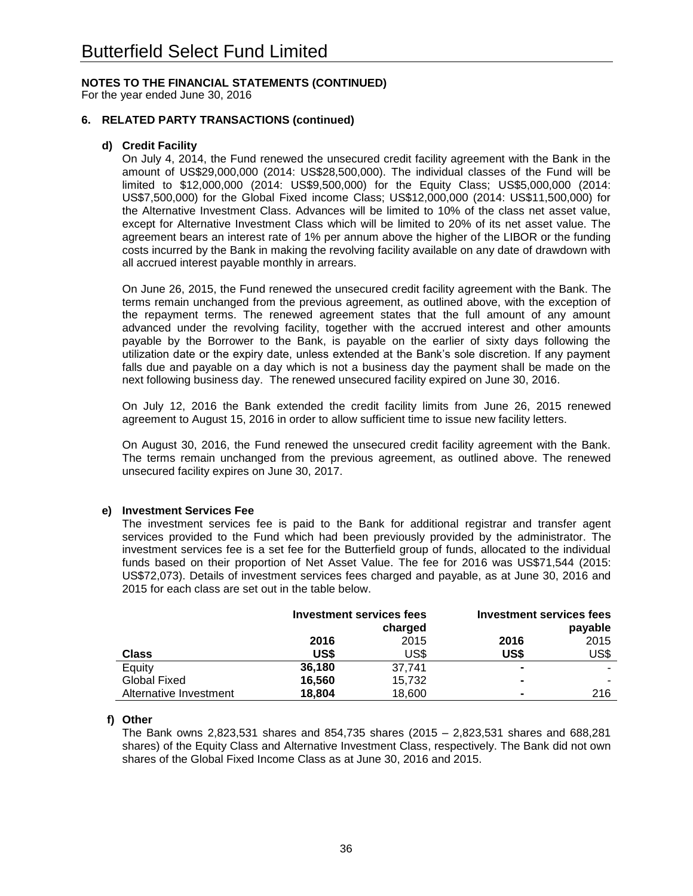For the year ended June 30, 2016

### **6. RELATED PARTY TRANSACTIONS (continued)**

#### **d) Credit Facility**

On July 4, 2014, the Fund renewed the unsecured credit facility agreement with the Bank in the amount of US\$29,000,000 (2014: US\$28,500,000). The individual classes of the Fund will be limited to \$12,000,000 (2014: US\$9,500,000) for the Equity Class; US\$5,000,000 (2014: US\$7,500,000) for the Global Fixed income Class; US\$12,000,000 (2014: US\$11,500,000) for the Alternative Investment Class. Advances will be limited to 10% of the class net asset value, except for Alternative Investment Class which will be limited to 20% of its net asset value. The agreement bears an interest rate of 1% per annum above the higher of the LIBOR or the funding costs incurred by the Bank in making the revolving facility available on any date of drawdown with all accrued interest payable monthly in arrears.

On June 26, 2015, the Fund renewed the unsecured credit facility agreement with the Bank. The terms remain unchanged from the previous agreement, as outlined above, with the exception of the repayment terms. The renewed agreement states that the full amount of any amount advanced under the revolving facility, together with the accrued interest and other amounts payable by the Borrower to the Bank, is payable on the earlier of sixty days following the utilization date or the expiry date, unless extended at the Bank's sole discretion. If any payment falls due and payable on a day which is not a business day the payment shall be made on the next following business day. The renewed unsecured facility expired on June 30, 2016.

On July 12, 2016 the Bank extended the credit facility limits from June 26, 2015 renewed agreement to August 15, 2016 in order to allow sufficient time to issue new facility letters.

On August 30, 2016, the Fund renewed the unsecured credit facility agreement with the Bank. The terms remain unchanged from the previous agreement, as outlined above. The renewed unsecured facility expires on June 30, 2017.

#### **e) Investment Services Fee**

The investment services fee is paid to the Bank for additional registrar and transfer agent services provided to the Fund which had been previously provided by the administrator. The investment services fee is a set fee for the Butterfield group of funds, allocated to the individual funds based on their proportion of Net Asset Value. The fee for 2016 was US\$71,544 (2015: US\$72,073). Details of investment services fees charged and payable, as at June 30, 2016 and 2015 for each class are set out in the table below.

|                        | Investment services fees<br>charged |        | Investment services fees<br>payable |      |
|------------------------|-------------------------------------|--------|-------------------------------------|------|
|                        | 2016                                | 2015   | 2016                                | 2015 |
| <b>Class</b>           | US\$                                | US\$   | US\$                                | US\$ |
| Equity                 | 36,180                              | 37.741 | $\blacksquare$                      |      |
| Global Fixed           | 16,560                              | 15,732 | $\blacksquare$                      |      |
| Alternative Investment | 18,804                              | 18,600 | $\blacksquare$                      | 216  |

# **f) Other**

The Bank owns 2,823,531 shares and 854,735 shares (2015 – 2,823,531 shares and 688,281 shares) of the Equity Class and Alternative Investment Class, respectively. The Bank did not own shares of the Global Fixed Income Class as at June 30, 2016 and 2015.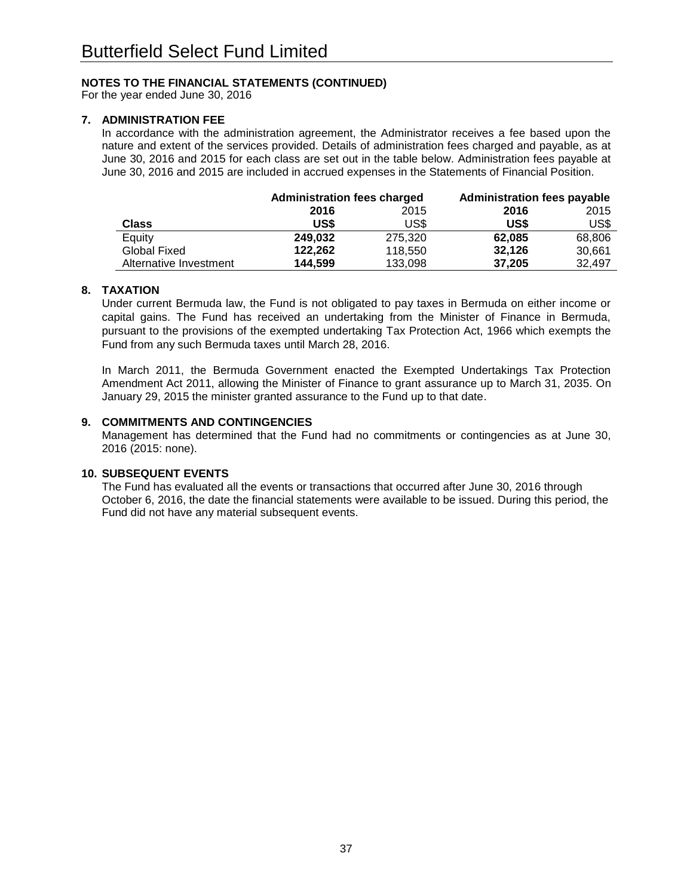For the year ended June 30, 2016

#### **7. ADMINISTRATION FEE**

In accordance with the administration agreement, the Administrator receives a fee based upon the nature and extent of the services provided. Details of administration fees charged and payable, as at June 30, 2016 and 2015 for each class are set out in the table below. Administration fees payable at June 30, 2016 and 2015 are included in accrued expenses in the Statements of Financial Position.

|                        | <b>Administration fees charged</b> |         | <b>Administration fees payable</b> |        |  |
|------------------------|------------------------------------|---------|------------------------------------|--------|--|
|                        | 2016                               | 2015    | 2016                               | 2015   |  |
| <b>Class</b>           | US\$                               | US\$    | US\$                               | US\$   |  |
| Equity                 | 249.032                            | 275.320 | 62.085                             | 68,806 |  |
| Global Fixed           | 122.262                            | 118,550 | 32.126                             | 30,661 |  |
| Alternative Investment | 144.599                            | 133,098 | 37,205                             | 32.497 |  |

#### **8. TAXATION**

Under current Bermuda law, the Fund is not obligated to pay taxes in Bermuda on either income or capital gains. The Fund has received an undertaking from the Minister of Finance in Bermuda, pursuant to the provisions of the exempted undertaking Tax Protection Act, 1966 which exempts the Fund from any such Bermuda taxes until March 28, 2016.

In March 2011, the Bermuda Government enacted the Exempted Undertakings Tax Protection Amendment Act 2011, allowing the Minister of Finance to grant assurance up to March 31, 2035. On January 29, 2015 the minister granted assurance to the Fund up to that date.

#### **9. COMMITMENTS AND CONTINGENCIES**

Management has determined that the Fund had no commitments or contingencies as at June 30, 2016 (2015: none).

### **10. SUBSEQUENT EVENTS**

The Fund has evaluated all the events or transactions that occurred after June 30, 2016 through October 6, 2016, the date the financial statements were available to be issued. During this period, the Fund did not have any material subsequent events.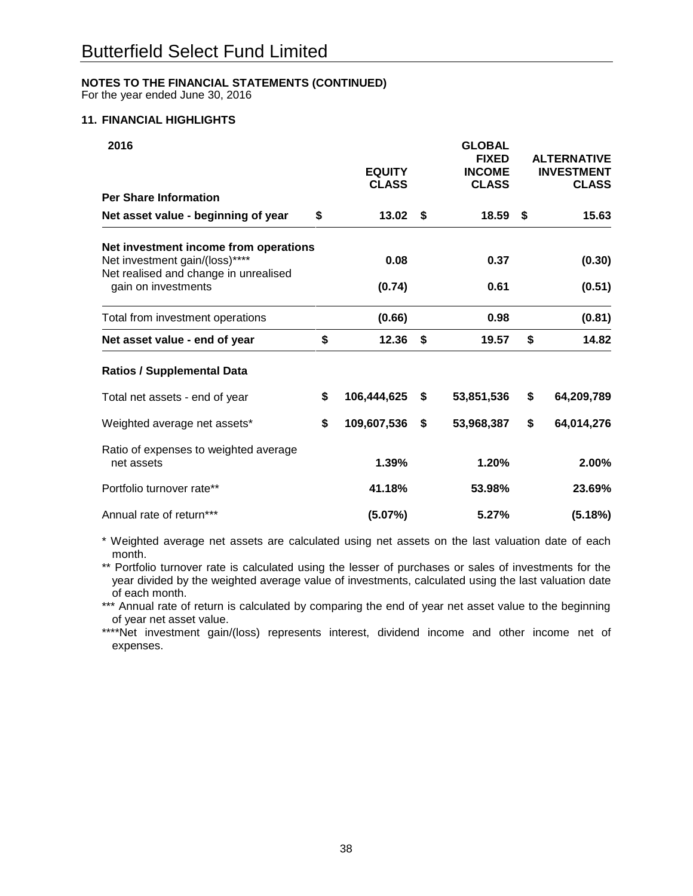For the year ended June 30, 2016

# **11. FINANCIAL HIGHLIGHTS**

| 2016                                                         | <b>EQUITY</b><br><b>CLASS</b> |    | <b>GLOBAL</b><br><b>FIXED</b><br><b>INCOME</b><br><b>CLASS</b> |    | <b>ALTERNATIVE</b><br><b>INVESTMENT</b><br><b>CLASS</b> |
|--------------------------------------------------------------|-------------------------------|----|----------------------------------------------------------------|----|---------------------------------------------------------|
| <b>Per Share Information</b>                                 |                               |    |                                                                |    |                                                         |
| Net asset value - beginning of year                          | \$<br>13.02                   | S  | 18.59                                                          | S  | 15.63                                                   |
| Net investment income from operations                        |                               |    |                                                                |    |                                                         |
| Net investment gain/(loss)****                               | 0.08                          |    | 0.37                                                           |    | (0.30)                                                  |
| Net realised and change in unrealised<br>gain on investments | (0.74)                        |    | 0.61                                                           |    | (0.51)                                                  |
| Total from investment operations                             | (0.66)                        |    | 0.98                                                           |    | (0.81)                                                  |
| Net asset value - end of year                                | \$<br>12.36                   | \$ | 19.57                                                          | \$ | 14.82                                                   |
| <b>Ratios / Supplemental Data</b>                            |                               |    |                                                                |    |                                                         |
| Total net assets - end of year                               | \$<br>106,444,625             | \$ | 53,851,536                                                     | \$ | 64,209,789                                              |
| Weighted average net assets*                                 | \$<br>109,607,536             | \$ | 53,968,387                                                     | \$ | 64,014,276                                              |
| Ratio of expenses to weighted average<br>net assets          | 1.39%                         |    | 1.20%                                                          |    | 2.00%                                                   |
| Portfolio turnover rate**                                    | 41.18%                        |    | 53.98%                                                         |    | 23.69%                                                  |
| Annual rate of return***                                     | (5.07%)                       |    | 5.27%                                                          |    | (5.18%)                                                 |

\* Weighted average net assets are calculated using net assets on the last valuation date of each month.

\*\* Portfolio turnover rate is calculated using the lesser of purchases or sales of investments for the year divided by the weighted average value of investments, calculated using the last valuation date of each month.

\*\*\* Annual rate of return is calculated by comparing the end of year net asset value to the beginning of year net asset value.

\*\*\*\*Net investment gain/(loss) represents interest, dividend income and other income net of expenses.